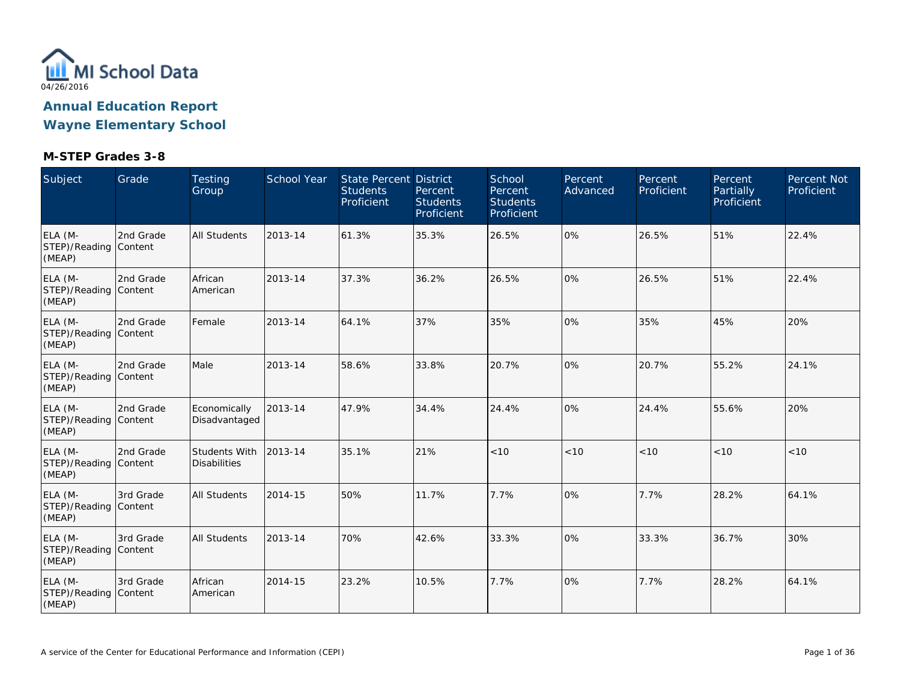

## **Wayne Elementary School**

| Subject                                    | Grade     | Testing<br>Group                     | School Year | State Percent District<br><b>Students</b><br>Proficient | Percent<br><b>Students</b><br>Proficient | School<br>Percent<br><b>Students</b><br>Proficient | Percent<br>Advanced | Percent<br>Proficient | Percent<br>Partially<br>Proficient | Percent Not<br>Proficient |
|--------------------------------------------|-----------|--------------------------------------|-------------|---------------------------------------------------------|------------------------------------------|----------------------------------------------------|---------------------|-----------------------|------------------------------------|---------------------------|
| ELA (M-<br>STEP)/Reading Content<br>(MEAP) | 2nd Grade | <b>All Students</b>                  | 2013-14     | 61.3%                                                   | 35.3%                                    | 26.5%                                              | 0%                  | 26.5%                 | 51%                                | 22.4%                     |
| ELA (M-<br>STEP)/Reading Content<br>(MEAP) | 2nd Grade | African<br>American                  | 2013-14     | 37.3%                                                   | 36.2%                                    | 26.5%                                              | 0%                  | 26.5%                 | 51%                                | 22.4%                     |
| ELA (M-<br>STEP)/Reading Content<br>(MEAP) | 2nd Grade | Female                               | 2013-14     | 64.1%                                                   | 37%                                      | 35%                                                | 0%                  | 35%                   | 45%                                | 20%                       |
| ELA (M-<br>STEP)/Reading Content<br>(MEAP) | 2nd Grade | Male                                 | 2013-14     | 58.6%                                                   | 33.8%                                    | 20.7%                                              | 0%                  | 20.7%                 | 55.2%                              | 24.1%                     |
| ELA (M-<br>STEP)/Reading Content<br>(MEAP) | 2nd Grade | Economically<br>Disadvantaged        | 2013-14     | 47.9%                                                   | 34.4%                                    | 24.4%                                              | 0%                  | 24.4%                 | 55.6%                              | 20%                       |
| ELA (M-<br>STEP)/Reading Content<br>(MEAP) | 2nd Grade | Students With<br><b>Disabilities</b> | 2013-14     | 35.1%                                                   | 21%                                      | < 10                                               | < 10                | < 10                  | < 10                               | < 10                      |
| ELA (M-<br>STEP)/Reading Content<br>(MEAP) | 3rd Grade | <b>All Students</b>                  | 2014-15     | 50%                                                     | 11.7%                                    | 7.7%                                               | 0%                  | 7.7%                  | 28.2%                              | 64.1%                     |
| ELA (M-<br>STEP)/Reading Content<br>(MEAP) | 3rd Grade | <b>All Students</b>                  | 2013-14     | 70%                                                     | 42.6%                                    | 33.3%                                              | 0%                  | 33.3%                 | 36.7%                              | 30%                       |
| ELA (M-<br>STEP)/Reading Content<br>(MEAP) | 3rd Grade | African<br>American                  | 2014-15     | 23.2%                                                   | 10.5%                                    | 7.7%                                               | 0%                  | 7.7%                  | 28.2%                              | 64.1%                     |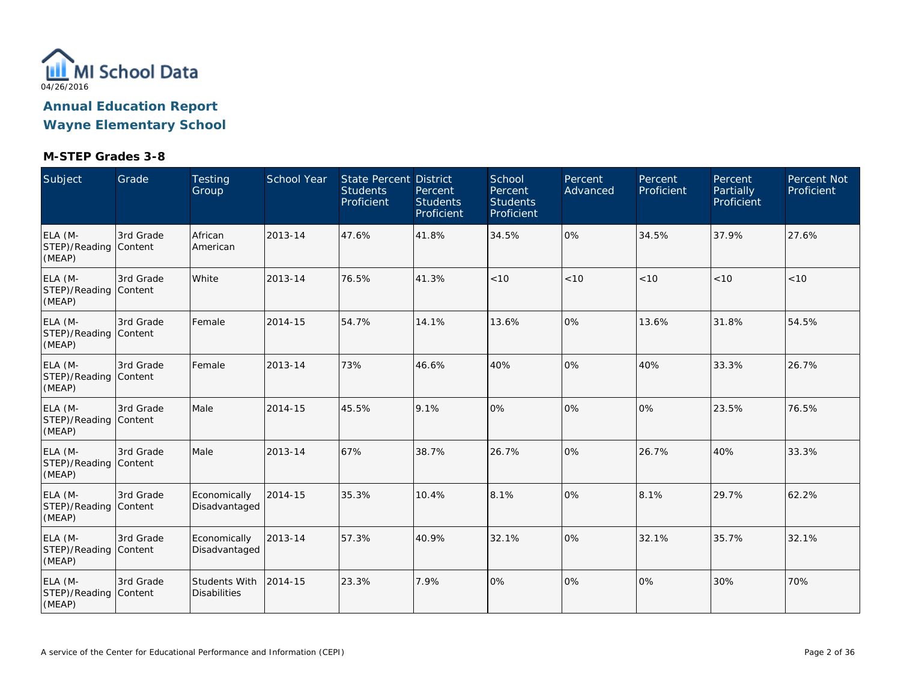

## **Wayne Elementary School**

| Subject                                    | Grade     | Testing<br>Group                            | School Year | <b>State Percent District</b><br><b>Students</b><br>Proficient | Percent<br><b>Students</b><br>Proficient | School<br>Percent<br><b>Students</b><br>Proficient | Percent<br>Advanced | Percent<br>Proficient | Percent<br>Partially<br>Proficient | Percent Not<br>Proficient |
|--------------------------------------------|-----------|---------------------------------------------|-------------|----------------------------------------------------------------|------------------------------------------|----------------------------------------------------|---------------------|-----------------------|------------------------------------|---------------------------|
| ELA (M-<br>STEP)/Reading Content<br>(MEAP) | 3rd Grade | African<br>American                         | 2013-14     | 47.6%                                                          | 41.8%                                    | 34.5%                                              | 0%                  | 34.5%                 | 37.9%                              | 27.6%                     |
| ELA (M-<br>STEP)/Reading Content<br>(MEAP) | 3rd Grade | White                                       | 2013-14     | 76.5%                                                          | 41.3%                                    | < 10                                               | < 10                | < 10                  | < 10                               | < 10                      |
| ELA (M-<br>STEP)/Reading Content<br>(MEAP) | 3rd Grade | Female                                      | 2014-15     | 54.7%                                                          | 14.1%                                    | 13.6%                                              | 0%                  | 13.6%                 | 31.8%                              | 54.5%                     |
| ELA (M-<br>STEP)/Reading Content<br>(MEAP) | 3rd Grade | Female                                      | 2013-14     | 73%                                                            | 46.6%                                    | 40%                                                | 0%                  | 40%                   | 33.3%                              | 26.7%                     |
| ELA (M-<br>STEP)/Reading Content<br>(MEAP) | 3rd Grade | Male                                        | 2014-15     | 45.5%                                                          | 9.1%                                     | 0%                                                 | 0%                  | 0%                    | 23.5%                              | 76.5%                     |
| ELA (M-<br>STEP)/Reading Content<br>(MEAP) | 3rd Grade | Male                                        | 2013-14     | 67%                                                            | 38.7%                                    | 26.7%                                              | 0%                  | 26.7%                 | 40%                                | 33.3%                     |
| ELA (M-<br>STEP)/Reading Content<br>(MEAP) | 3rd Grade | Economically<br>Disadvantaged               | 2014-15     | 35.3%                                                          | 10.4%                                    | 8.1%                                               | 0%                  | 8.1%                  | 29.7%                              | 62.2%                     |
| ELA (M-<br>STEP)/Reading Content<br>(MEAP) | 3rd Grade | Economically<br>Disadvantaged               | 2013-14     | 57.3%                                                          | 40.9%                                    | 32.1%                                              | 0%                  | 32.1%                 | 35.7%                              | 32.1%                     |
| ELA (M-<br>STEP)/Reading Content<br>(MEAP) | 3rd Grade | <b>Students With</b><br><b>Disabilities</b> | 2014-15     | 23.3%                                                          | 7.9%                                     | 0%                                                 | 0%                  | 0%                    | 30%                                | 70%                       |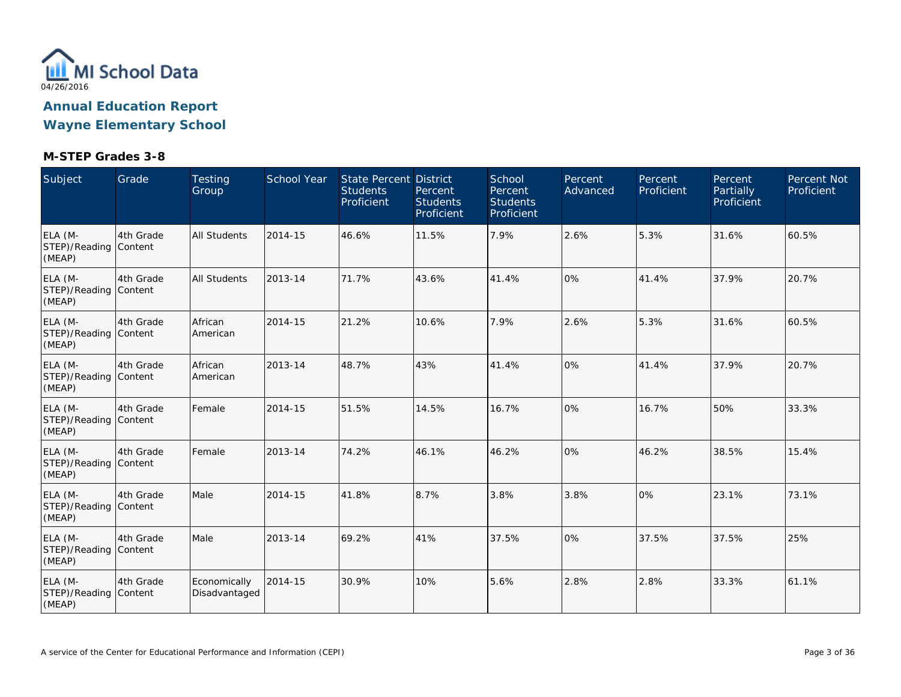

## **Wayne Elementary School**

| Subject                                    | Grade     | <b>Testing</b><br>Group       | School Year | State Percent District<br><b>Students</b><br>Proficient | Percent<br><b>Students</b><br>Proficient | School<br>Percent<br><b>Students</b><br>Proficient | Percent<br>Advanced | Percent<br>Proficient | Percent<br>Partially<br>Proficient | <b>Percent Not</b><br>Proficient |
|--------------------------------------------|-----------|-------------------------------|-------------|---------------------------------------------------------|------------------------------------------|----------------------------------------------------|---------------------|-----------------------|------------------------------------|----------------------------------|
| ELA (M-<br>STEP)/Reading Content<br>(MEAP) | 4th Grade | <b>All Students</b>           | 2014-15     | 46.6%                                                   | 11.5%                                    | 7.9%                                               | 2.6%                | 5.3%                  | 31.6%                              | 60.5%                            |
| ELA (M-<br>STEP)/Reading Content<br>(MEAP) | 4th Grade | <b>All Students</b>           | 2013-14     | 71.7%                                                   | 43.6%                                    | 41.4%                                              | 0%                  | 41.4%                 | 37.9%                              | 20.7%                            |
| ELA (M-<br>STEP)/Reading Content<br>(MEAP) | 4th Grade | African<br>American           | 2014-15     | 21.2%                                                   | 10.6%                                    | 7.9%                                               | 2.6%                | 5.3%                  | 31.6%                              | 60.5%                            |
| ELA (M-<br>STEP)/Reading Content<br>(MEAP) | 4th Grade | African<br>American           | 2013-14     | 48.7%                                                   | 43%                                      | 41.4%                                              | 0%                  | 41.4%                 | 37.9%                              | 20.7%                            |
| ELA (M-<br>STEP)/Reading Content<br>(MEAP) | 4th Grade | Female                        | 2014-15     | 51.5%                                                   | 14.5%                                    | 16.7%                                              | 0%                  | 16.7%                 | 50%                                | 33.3%                            |
| ELA (M-<br>STEP)/Reading Content<br>(MEAP) | 4th Grade | Female                        | 2013-14     | 74.2%                                                   | 46.1%                                    | 46.2%                                              | 0%                  | 46.2%                 | 38.5%                              | 15.4%                            |
| ELA (M-<br>STEP)/Reading Content<br>(MEAP) | 4th Grade | Male                          | 2014-15     | 41.8%                                                   | 8.7%                                     | 3.8%                                               | 3.8%                | 10%                   | 23.1%                              | 73.1%                            |
| ELA (M-<br>STEP)/Reading Content<br>(MEAP) | 4th Grade | Male                          | 2013-14     | 69.2%                                                   | 41%                                      | 37.5%                                              | 0%                  | 37.5%                 | 37.5%                              | 25%                              |
| ELA (M-<br>STEP)/Reading Content<br>(MEAP) | 4th Grade | Economically<br>Disadvantaged | 2014-15     | 30.9%                                                   | 10%                                      | 5.6%                                               | 2.8%                | 2.8%                  | 33.3%                              | 61.1%                            |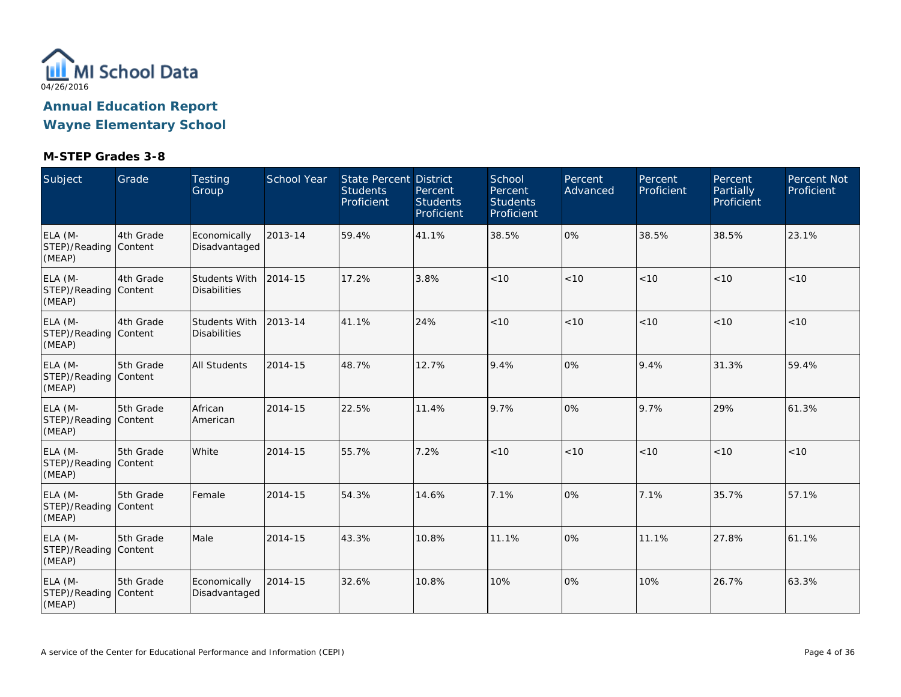

| Subject                                    | Grade     | Testing<br>Group                            | School Year | State Percent District<br><b>Students</b><br>Proficient | Percent<br><b>Students</b><br>Proficient | School<br>Percent<br><b>Students</b><br>Proficient | Percent<br>Advanced | Percent<br>Proficient | Percent<br>Partially<br>Proficient | <b>Percent Not</b><br>Proficient |
|--------------------------------------------|-----------|---------------------------------------------|-------------|---------------------------------------------------------|------------------------------------------|----------------------------------------------------|---------------------|-----------------------|------------------------------------|----------------------------------|
| ELA (M-<br>STEP)/Reading Content<br>(MEAP) | 4th Grade | Economically<br>Disadvantaged               | 2013-14     | 59.4%                                                   | 41.1%                                    | 38.5%                                              | 0%                  | 38.5%                 | 38.5%                              | 23.1%                            |
| ELA (M-<br>STEP)/Reading Content<br>(MEAP) | 4th Grade | <b>Students With</b><br><b>Disabilities</b> | 2014-15     | 17.2%                                                   | 3.8%                                     | < 10                                               | < 10                | < 10                  | < 10                               | < 10                             |
| ELA (M-<br>STEP)/Reading Content<br>(MEAP) | 4th Grade | <b>Students With</b><br><b>Disabilities</b> | 2013-14     | 41.1%                                                   | 24%                                      | < 10                                               | < 10                | < 10                  | < 10                               | < 10                             |
| ELA (M-<br>STEP)/Reading Content<br>(MEAP) | 5th Grade | <b>All Students</b>                         | 2014-15     | 48.7%                                                   | 12.7%                                    | 9.4%                                               | 0%                  | 9.4%                  | 31.3%                              | 59.4%                            |
| ELA (M-<br>STEP)/Reading Content<br>(MEAP) | 5th Grade | African<br>American                         | 2014-15     | 22.5%                                                   | 11.4%                                    | 9.7%                                               | 0%                  | 9.7%                  | 29%                                | 61.3%                            |
| ELA (M-<br>STEP)/Reading Content<br>(MEAP) | 5th Grade | White                                       | 2014-15     | 55.7%                                                   | 7.2%                                     | < 10                                               | < 10                | < 10                  | < 10                               | $<10$                            |
| ELA (M-<br>STEP)/Reading Content<br>(MEAP) | 5th Grade | Female                                      | 2014-15     | 54.3%                                                   | 14.6%                                    | 7.1%                                               | 0%                  | 7.1%                  | 35.7%                              | 57.1%                            |
| ELA (M-<br>STEP)/Reading Content<br>(MEAP) | 5th Grade | Male                                        | 2014-15     | 43.3%                                                   | 10.8%                                    | 11.1%                                              | 0%                  | 11.1%                 | 27.8%                              | 61.1%                            |
| ELA (M-<br>STEP)/Reading Content<br>(MEAP) | 5th Grade | Economically<br>Disadvantaged               | 2014-15     | 32.6%                                                   | 10.8%                                    | 10%                                                | 0%                  | 10%                   | 26.7%                              | 63.3%                            |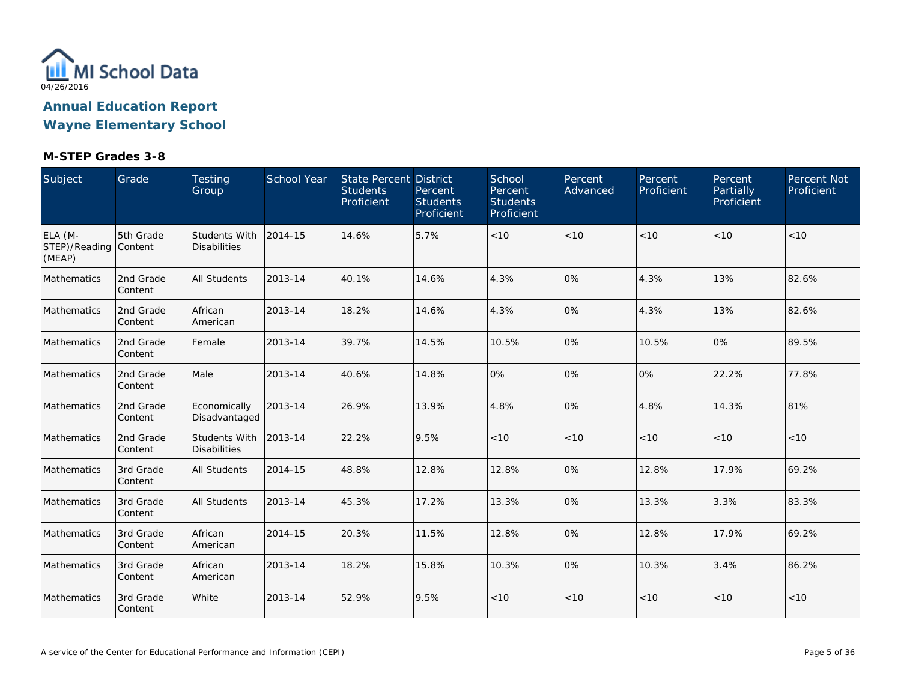

## **Wayne Elementary School**

| Subject                                    | Grade                 | Testing<br>Group                     | School Year | <b>State Percent District</b><br><b>Students</b><br>Proficient | Percent<br><b>Students</b><br>Proficient | School<br>Percent<br><b>Students</b><br>Proficient | Percent<br>Advanced | Percent<br>Proficient | Percent<br>Partially<br>Proficient | Percent Not<br>Proficient |
|--------------------------------------------|-----------------------|--------------------------------------|-------------|----------------------------------------------------------------|------------------------------------------|----------------------------------------------------|---------------------|-----------------------|------------------------------------|---------------------------|
| ELA (M-<br>STEP)/Reading Content<br>(MEAP) | 5th Grade             | Students With<br><b>Disabilities</b> | 2014-15     | 14.6%                                                          | 5.7%                                     | < 10                                               | < 10                | < 10                  | < 10                               | < 10                      |
| Mathematics                                | 2nd Grade<br>Content  | <b>All Students</b>                  | 2013-14     | 40.1%                                                          | 14.6%                                    | 4.3%                                               | 0%                  | 4.3%                  | 13%                                | 82.6%                     |
| Mathematics                                | 2nd Grade<br>Content  | African<br>American                  | 2013-14     | 18.2%                                                          | 14.6%                                    | 4.3%                                               | 0%                  | 4.3%                  | 13%                                | 82.6%                     |
| Mathematics                                | 2nd Grade<br>Content  | Female                               | 2013-14     | 39.7%                                                          | 14.5%                                    | 10.5%                                              | 0%                  | 10.5%                 | 0%                                 | 89.5%                     |
| Mathematics                                | 2nd Grade<br>Content  | Male                                 | 2013-14     | 40.6%                                                          | 14.8%                                    | 0%                                                 | 0%                  | 0%                    | 22.2%                              | 77.8%                     |
| Mathematics                                | 2nd Grade<br>Content  | Economically<br>Disadvantaged        | 2013-14     | 26.9%                                                          | 13.9%                                    | 4.8%                                               | 0%                  | 4.8%                  | 14.3%                              | 81%                       |
| Mathematics                                | 2nd Grade<br>Content  | Students With<br><b>Disabilities</b> | 2013-14     | 22.2%                                                          | 9.5%                                     | < 10                                               | < 10                | < 10                  | < 10                               | < 10                      |
| Mathematics                                | 3rd Grade<br>Content  | <b>All Students</b>                  | 2014-15     | 48.8%                                                          | 12.8%                                    | 12.8%                                              | 0%                  | 12.8%                 | 17.9%                              | 69.2%                     |
| Mathematics                                | 3rd Grade<br> Content | <b>All Students</b>                  | 2013-14     | 45.3%                                                          | 17.2%                                    | 13.3%                                              | 0%                  | 13.3%                 | 3.3%                               | 83.3%                     |
| Mathematics                                | 3rd Grade<br>Content  | African<br>American                  | 2014-15     | 20.3%                                                          | 11.5%                                    | 12.8%                                              | 0%                  | 12.8%                 | 17.9%                              | 69.2%                     |
| Mathematics                                | 3rd Grade<br>Content  | African<br>American                  | 2013-14     | 18.2%                                                          | 15.8%                                    | 10.3%                                              | 0%                  | 10.3%                 | 3.4%                               | 86.2%                     |
| Mathematics                                | 3rd Grade<br>Content  | White                                | 2013-14     | 52.9%                                                          | 9.5%                                     | < 10                                               | < 10                | < 10                  | < 10                               | < 10                      |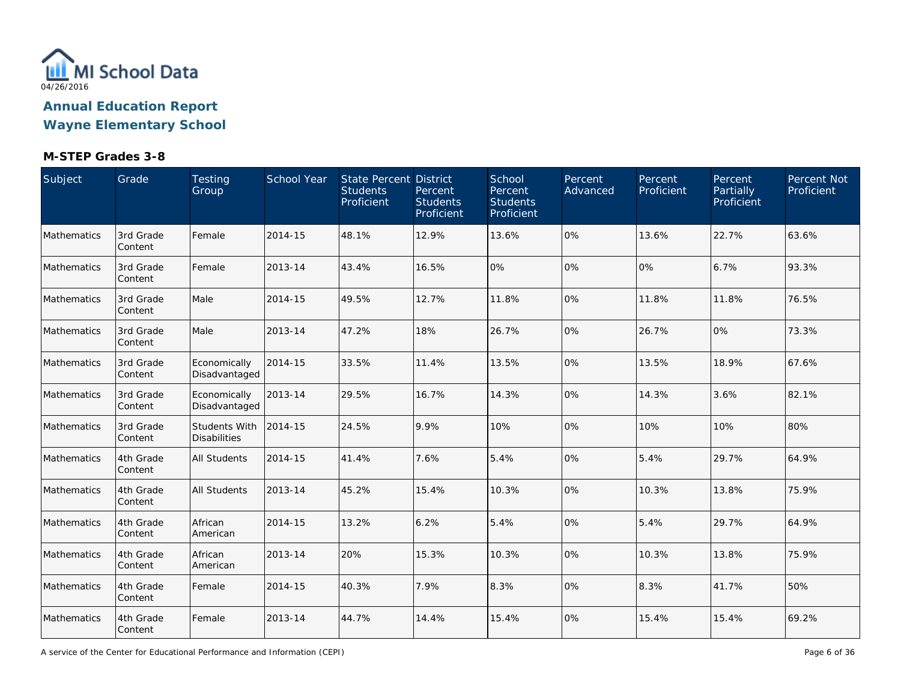

## **Wayne Elementary School**

| Subject     | Grade                | Testing<br>Group                     | School Year | State Percent District<br><b>Students</b><br>Proficient | Percent<br><b>Students</b><br>Proficient | School<br>Percent<br><b>Students</b><br>Proficient | Percent<br>Advanced | Percent<br>Proficient | Percent<br>Partially<br>Proficient | Percent Not<br>Proficient |
|-------------|----------------------|--------------------------------------|-------------|---------------------------------------------------------|------------------------------------------|----------------------------------------------------|---------------------|-----------------------|------------------------------------|---------------------------|
| Mathematics | 3rd Grade<br>Content | Female                               | 2014-15     | 48.1%                                                   | 12.9%                                    | 13.6%                                              | 0%                  | 13.6%                 | 22.7%                              | 63.6%                     |
| Mathematics | 3rd Grade<br>Content | Female                               | 2013-14     | 43.4%                                                   | 16.5%                                    | 0%                                                 | 0%                  | 0%                    | 6.7%                               | 93.3%                     |
| Mathematics | 3rd Grade<br>Content | Male                                 | 2014-15     | 49.5%                                                   | 12.7%                                    | 11.8%                                              | 0%                  | 11.8%                 | 11.8%                              | 76.5%                     |
| Mathematics | 3rd Grade<br>Content | Male                                 | 2013-14     | 47.2%                                                   | 18%                                      | 26.7%                                              | 0%                  | 26.7%                 | 0%                                 | 73.3%                     |
| Mathematics | 3rd Grade<br>Content | Economically<br>Disadvantaged        | 2014-15     | 33.5%                                                   | 11.4%                                    | 13.5%                                              | 0%                  | 13.5%                 | 18.9%                              | 67.6%                     |
| Mathematics | 3rd Grade<br>Content | Economically<br>Disadvantaged        | 2013-14     | 29.5%                                                   | 16.7%                                    | 14.3%                                              | 0%                  | 14.3%                 | 3.6%                               | 82.1%                     |
| Mathematics | 3rd Grade<br>Content | Students With<br><b>Disabilities</b> | 2014-15     | 24.5%                                                   | 9.9%                                     | 10%                                                | 0%                  | 10%                   | 10%                                | 80%                       |
| Mathematics | 4th Grade<br>Content | <b>All Students</b>                  | 2014-15     | 41.4%                                                   | 7.6%                                     | 5.4%                                               | 0%                  | 5.4%                  | 29.7%                              | 64.9%                     |
| Mathematics | 4th Grade<br>Content | All Students                         | 2013-14     | 45.2%                                                   | 15.4%                                    | 10.3%                                              | 0%                  | 10.3%                 | 13.8%                              | 75.9%                     |
| Mathematics | 4th Grade<br>Content | African<br>American                  | 2014-15     | 13.2%                                                   | 6.2%                                     | 5.4%                                               | 0%                  | 5.4%                  | 29.7%                              | 64.9%                     |
| Mathematics | 4th Grade<br>Content | African<br>American                  | 2013-14     | 20%                                                     | 15.3%                                    | 10.3%                                              | 0%                  | 10.3%                 | 13.8%                              | 75.9%                     |
| Mathematics | 4th Grade<br>Content | Female                               | 2014-15     | 40.3%                                                   | 7.9%                                     | 8.3%                                               | 0%                  | 8.3%                  | 41.7%                              | 50%                       |
| Mathematics | 4th Grade<br>Content | Female                               | 2013-14     | 44.7%                                                   | 14.4%                                    | 15.4%                                              | 0%                  | 15.4%                 | 15.4%                              | 69.2%                     |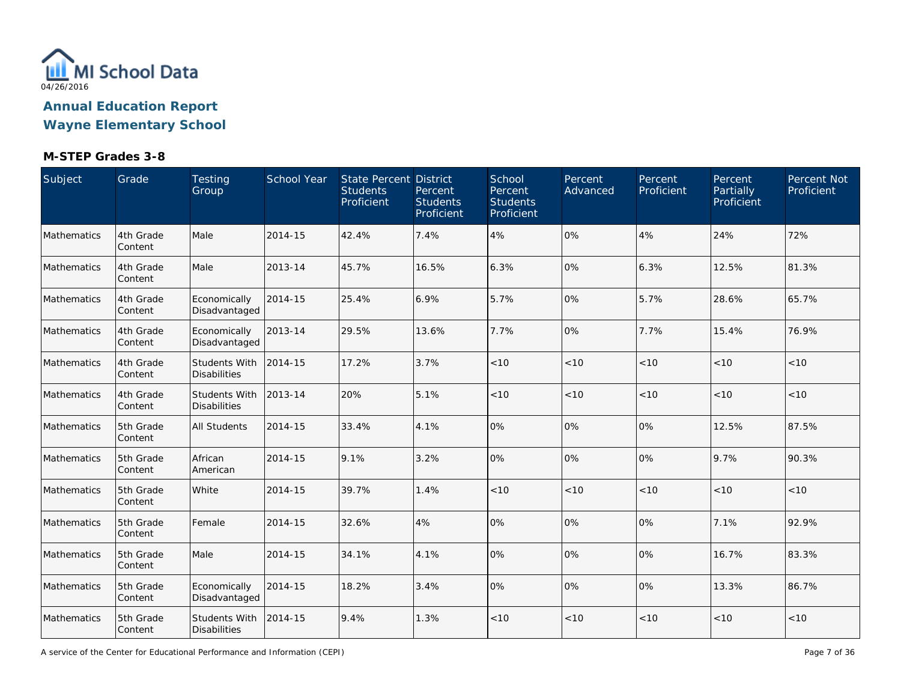

## **Wayne Elementary School**

| Subject     | Grade                | Testing<br>Group                            | School Year | <b>State Percent District</b><br><b>Students</b><br>Proficient | Percent<br><b>Students</b><br>Proficient | School<br>Percent<br><b>Students</b><br>Proficient | Percent<br>Advanced | Percent<br>Proficient | Percent<br>Partially<br>Proficient | Percent Not<br>Proficient |
|-------------|----------------------|---------------------------------------------|-------------|----------------------------------------------------------------|------------------------------------------|----------------------------------------------------|---------------------|-----------------------|------------------------------------|---------------------------|
| Mathematics | 4th Grade<br>Content | Male                                        | 2014-15     | 42.4%                                                          | 7.4%                                     | 4%                                                 | 0%                  | 4%                    | 24%                                | 72%                       |
| Mathematics | 4th Grade<br>Content | Male                                        | 2013-14     | 45.7%                                                          | 16.5%                                    | 6.3%                                               | 0%                  | 6.3%                  | 12.5%                              | 81.3%                     |
| Mathematics | 4th Grade<br>Content | Economically<br>Disadvantaged               | 2014-15     | 25.4%                                                          | 6.9%                                     | 5.7%                                               | 0%                  | 5.7%                  | 28.6%                              | 65.7%                     |
| Mathematics | 4th Grade<br>Content | Economically<br>Disadvantaged               | 2013-14     | 29.5%                                                          | 13.6%                                    | 7.7%                                               | 0%                  | 7.7%                  | 15.4%                              | 76.9%                     |
| Mathematics | 4th Grade<br>Content | <b>Students With</b><br><b>Disabilities</b> | 2014-15     | 17.2%                                                          | 3.7%                                     | < 10                                               | < 10                | < 10                  | < 10                               | < 10                      |
| Mathematics | 4th Grade<br>Content | Students With<br><b>Disabilities</b>        | 2013-14     | 20%                                                            | 5.1%                                     | < 10                                               | < 10                | < 10                  | < 10                               | $<10$                     |
| Mathematics | 5th Grade<br>Content | <b>All Students</b>                         | 2014-15     | 33.4%                                                          | 4.1%                                     | 0%                                                 | 0%                  | 0%                    | 12.5%                              | 87.5%                     |
| Mathematics | 5th Grade<br>Content | African<br>American                         | 2014-15     | 9.1%                                                           | 3.2%                                     | 0%                                                 | 0%                  | 0%                    | 9.7%                               | 90.3%                     |
| Mathematics | 5th Grade<br>Content | White                                       | 2014-15     | 39.7%                                                          | 1.4%                                     | < 10                                               | < 10                | < 10                  | < 10                               | < 10                      |
| Mathematics | 5th Grade<br>Content | Female                                      | 2014-15     | 32.6%                                                          | 4%                                       | 0%                                                 | 0%                  | 0%                    | 7.1%                               | 92.9%                     |
| Mathematics | 5th Grade<br>Content | Male                                        | 2014-15     | 34.1%                                                          | 4.1%                                     | 0%                                                 | 0%                  | 0%                    | 16.7%                              | 83.3%                     |
| Mathematics | 5th Grade<br>Content | Economically<br>Disadvantaged               | 2014-15     | 18.2%                                                          | 3.4%                                     | 0%                                                 | 0%                  | 0%                    | 13.3%                              | 86.7%                     |
| Mathematics | 5th Grade<br>Content | <b>Students With</b><br><b>Disabilities</b> | 2014-15     | 9.4%                                                           | 1.3%                                     | < 10                                               | < 10                | < 10                  | < 10                               | < 10                      |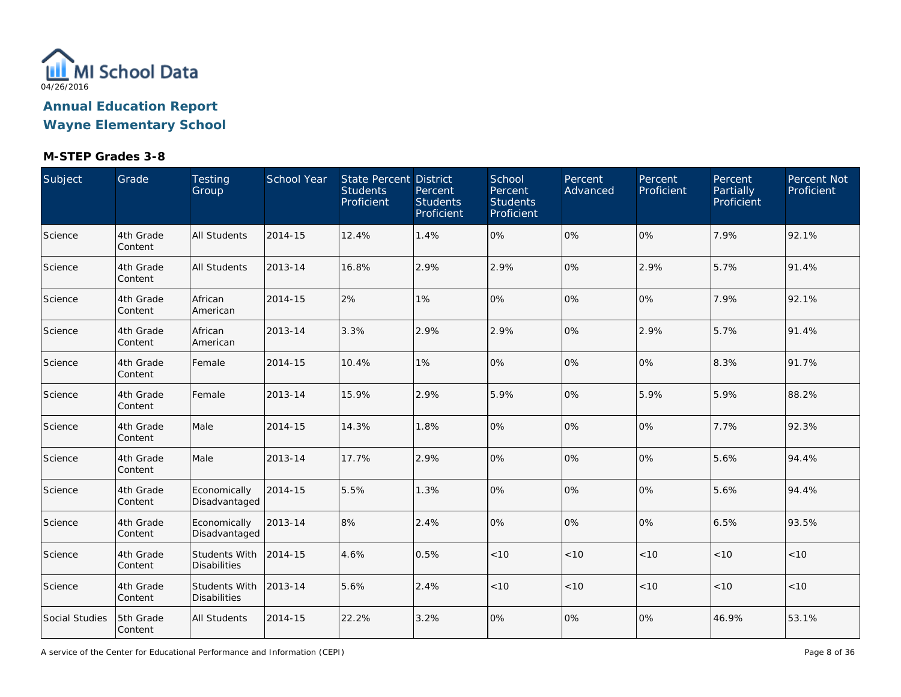

## **Wayne Elementary School**

| Subject        | Grade                 | Testing<br>Group                     | School Year | <b>State Percent District</b><br><b>Students</b><br>Proficient | Percent<br><b>Students</b><br>Proficient | School<br>Percent<br><b>Students</b><br>Proficient | Percent<br>Advanced | Percent<br>Proficient | Percent<br>Partially<br>Proficient | Percent Not<br>Proficient |
|----------------|-----------------------|--------------------------------------|-------------|----------------------------------------------------------------|------------------------------------------|----------------------------------------------------|---------------------|-----------------------|------------------------------------|---------------------------|
| Science        | 4th Grade<br>Content  | <b>All Students</b>                  | 2014-15     | 12.4%                                                          | 1.4%                                     | 0%                                                 | 0%                  | 0%                    | 7.9%                               | 92.1%                     |
| Science        | 4th Grade<br>Content  | <b>All Students</b>                  | 2013-14     | 16.8%                                                          | 2.9%                                     | 2.9%                                               | 0%                  | 2.9%                  | 5.7%                               | 91.4%                     |
| Science        | 4th Grade<br>Content  | African<br>American                  | 2014-15     | 2%                                                             | 1%                                       | 0%                                                 | 0%                  | 0%                    | 7.9%                               | 92.1%                     |
| Science        | 4th Grade<br>Content  | African<br>American                  | 2013-14     | 3.3%                                                           | 2.9%                                     | 2.9%                                               | 0%                  | 2.9%                  | 5.7%                               | 91.4%                     |
| Science        | 4th Grade<br>Content  | Female                               | 2014-15     | 10.4%                                                          | 1%                                       | 0%                                                 | 0%                  | 0%                    | 8.3%                               | 91.7%                     |
| Science        | 4th Grade<br>Content  | Female                               | 2013-14     | 15.9%                                                          | 2.9%                                     | 5.9%                                               | 0%                  | 5.9%                  | 5.9%                               | 88.2%                     |
| Science        | 4th Grade<br>Content  | Male                                 | 2014-15     | 14.3%                                                          | 1.8%                                     | 0%                                                 | 0%                  | 0%                    | 7.7%                               | 92.3%                     |
| Science        | 4th Grade<br>Content  | Male                                 | 2013-14     | 17.7%                                                          | 2.9%                                     | 0%                                                 | 0%                  | 0%                    | 5.6%                               | 94.4%                     |
| Science        | 4th Grade<br>Content  | Economically<br>Disadvantaged        | 2014-15     | 5.5%                                                           | 1.3%                                     | 0%                                                 | 0%                  | 0%                    | 5.6%                               | 94.4%                     |
| Science        | 4th Grade<br>Content  | Economically<br>Disadvantaged        | 2013-14     | 8%                                                             | 2.4%                                     | 0%                                                 | 0%                  | 0%                    | 6.5%                               | 93.5%                     |
| Science        | 4th Grade<br>Content  | Students With<br><b>Disabilities</b> | 2014-15     | 4.6%                                                           | 0.5%                                     | $<10$                                              | < 10                | $<10$                 | < 10                               | < 10                      |
| Science        | 4th Grade<br> Content | Students With<br><b>Disabilities</b> | 2013-14     | 5.6%                                                           | 2.4%                                     | $<10$                                              | < 10                | < 10                  | < 10                               | < 10                      |
| Social Studies | 5th Grade<br> Content | All Students                         | 2014-15     | 22.2%                                                          | 3.2%                                     | 0%                                                 | 0%                  | 0%                    | 46.9%                              | 53.1%                     |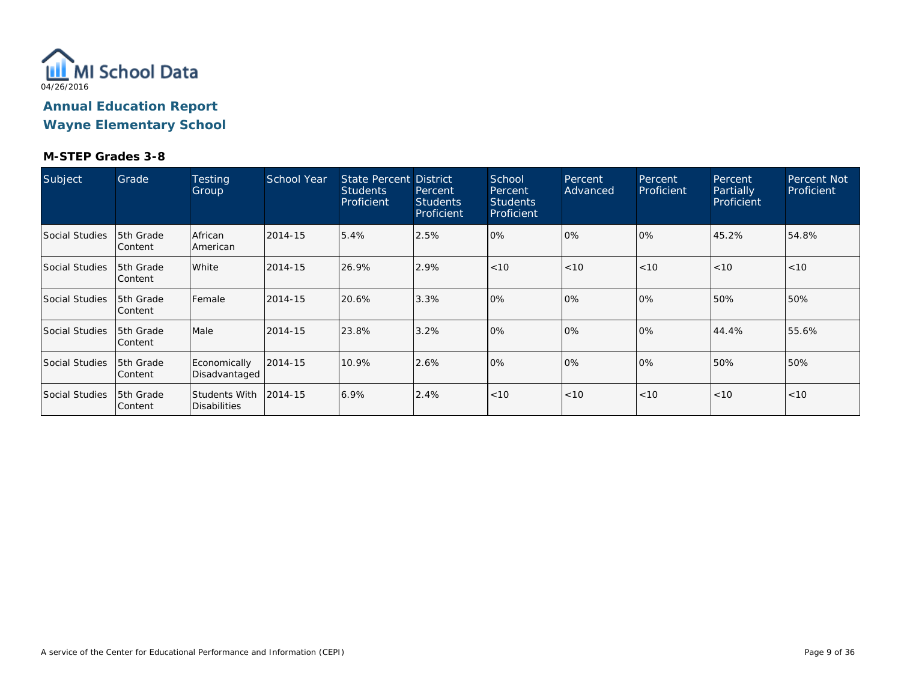

| Subject               | Grade                 | <b>Testing</b><br>Group       | School Year | <b>State Percent District</b><br><b>Students</b><br>Proficient | Percent<br><b>Students</b><br>Proficient | School<br>Percent<br><b>Students</b><br>Proficient | Percent<br>Advanced | Percent<br>Proficient | <b>Percent</b><br>Partially<br>Proficient | <b>Percent Not</b><br>Proficient |
|-----------------------|-----------------------|-------------------------------|-------------|----------------------------------------------------------------|------------------------------------------|----------------------------------------------------|---------------------|-----------------------|-------------------------------------------|----------------------------------|
| <b>Social Studies</b> | 5th Grade<br> Content | African<br>American           | 2014-15     | 5.4%                                                           | 2.5%                                     | 0%                                                 | 0%                  | 10%                   | 45.2%                                     | 54.8%                            |
| <b>Social Studies</b> | 5th Grade<br> Content | <b>White</b>                  | 2014-15     | 26.9%                                                          | 2.9%                                     | < 10                                               | < 10                | < 10                  | < 10                                      | < 10                             |
| <b>Social Studies</b> | 5th Grade<br> Content | Female                        | 2014-15     | 20.6%                                                          | 3.3%                                     | 0%                                                 | 0%                  | 10%                   | 50%                                       | 50%                              |
| Social Studies        | 5th Grade<br> Content | Male                          | 2014-15     | 23.8%                                                          | 3.2%                                     | 0%                                                 | 0%                  | 10%                   | 44.4%                                     | 55.6%                            |
| <b>Social Studies</b> | 5th Grade<br>Content  | Economically<br>Disadvantaged | 2014-15     | 10.9%                                                          | 2.6%                                     | 0%                                                 | 0%                  | 10%                   | 50%                                       | 50%                              |
| <b>Social Studies</b> | 5th Grade<br> Content | Students With<br>Disabilities | 2014-15     | 6.9%                                                           | 2.4%                                     | < 10                                               | < 10                | < 10                  | < 10                                      | < 10                             |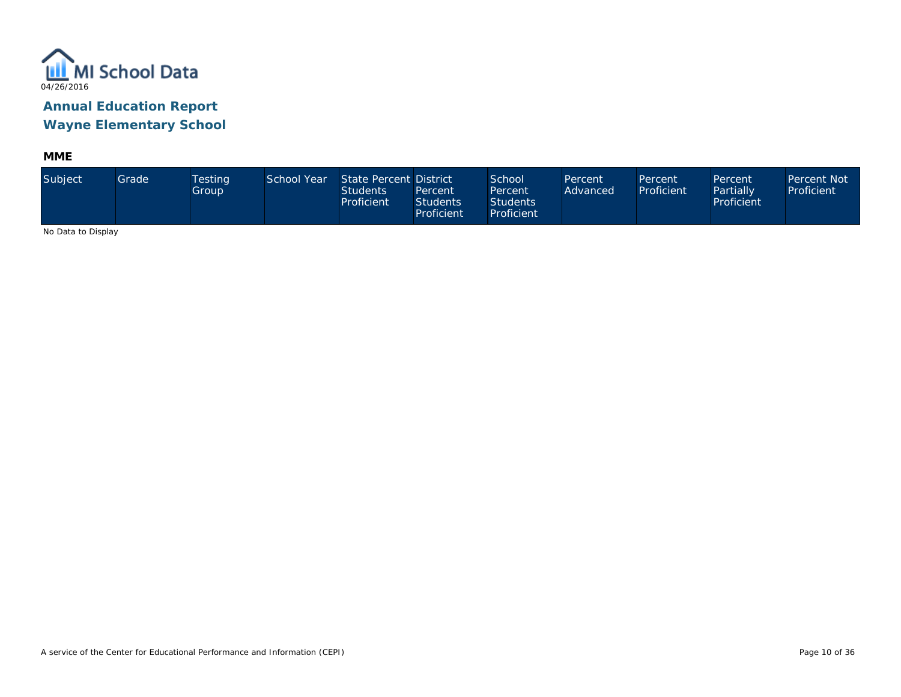

**MME**

| Subject | Grade | Testing<br>Group | School Year | State Percent District<br><b>Students</b><br>Proficient | Percent<br><b>Students</b><br>Proficient | School<br>Percent<br><b>Students</b><br>Proficient | Percent<br>Advanced | Percent<br>Proficient | Percent<br>Partially<br>Proficient | <b>Percent Not</b><br>Proficient |
|---------|-------|------------------|-------------|---------------------------------------------------------|------------------------------------------|----------------------------------------------------|---------------------|-----------------------|------------------------------------|----------------------------------|
| .       |       |                  |             |                                                         |                                          |                                                    |                     |                       |                                    |                                  |

No Data to Display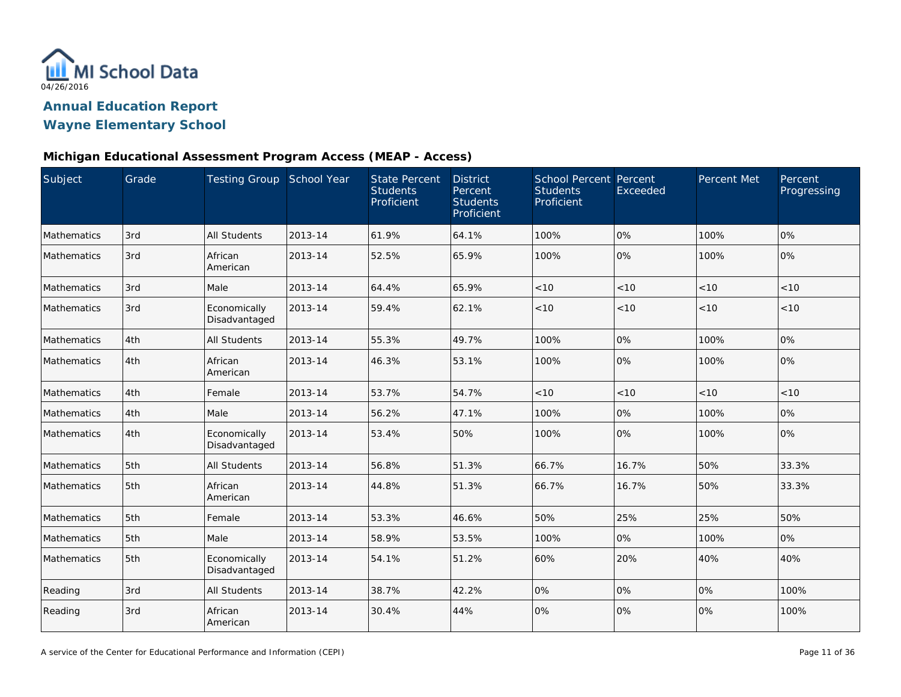

## **Wayne Elementary School**

#### **Michigan Educational Assessment Program Access (MEAP - Access)**

| Subject            | Grade | Testing Group School Year     |         | <b>State Percent</b><br><b>Students</b><br>Proficient | <b>District</b><br>Percent<br><b>Students</b><br>Proficient | <b>School Percent Percent</b><br><b>Students</b><br>Proficient | Exceeded | Percent Met | Percent<br>Progressing |
|--------------------|-------|-------------------------------|---------|-------------------------------------------------------|-------------------------------------------------------------|----------------------------------------------------------------|----------|-------------|------------------------|
| <b>Mathematics</b> | 3rd   | <b>All Students</b>           | 2013-14 | 61.9%                                                 | 64.1%                                                       | 100%                                                           | 0%       | 100%        | 0%                     |
| Mathematics        | 3rd   | African<br>American           | 2013-14 | 52.5%                                                 | 65.9%                                                       | 100%                                                           | 0%       | 100%        | 0%                     |
| Mathematics        | 3rd   | Male                          | 2013-14 | 64.4%                                                 | 65.9%                                                       | < 10                                                           | < 10     | < 10        | < 10                   |
| Mathematics        | 3rd   | Economically<br>Disadvantaged | 2013-14 | 59.4%                                                 | 62.1%                                                       | < 10                                                           | $<10$    | $<10$       | < 10                   |
| Mathematics        | 4th   | <b>All Students</b>           | 2013-14 | 55.3%                                                 | 49.7%                                                       | 100%                                                           | 0%       | 100%        | 0%                     |
| Mathematics        | 4th   | African<br>American           | 2013-14 | 46.3%                                                 | 53.1%                                                       | 100%                                                           | 0%       | 100%        | 0%                     |
| Mathematics        | 4th   | Female                        | 2013-14 | 53.7%                                                 | 54.7%                                                       | < 10                                                           | < 10     | < 10        | < 10                   |
| Mathematics        | 4th   | Male                          | 2013-14 | 56.2%                                                 | 47.1%                                                       | 100%                                                           | 0%       | 100%        | 0%                     |
| Mathematics        | 4th   | Economically<br>Disadvantaged | 2013-14 | 53.4%                                                 | 50%                                                         | 100%                                                           | 0%       | 100%        | 0%                     |
| Mathematics        | 5th   | <b>All Students</b>           | 2013-14 | 56.8%                                                 | 51.3%                                                       | 66.7%                                                          | 16.7%    | 50%         | 33.3%                  |
| Mathematics        | 5th   | African<br>American           | 2013-14 | 44.8%                                                 | 51.3%                                                       | 66.7%                                                          | 16.7%    | 50%         | 33.3%                  |
| Mathematics        | 5th   | Female                        | 2013-14 | 53.3%                                                 | 46.6%                                                       | 50%                                                            | 25%      | 25%         | 50%                    |
| Mathematics        | 5th   | Male                          | 2013-14 | 58.9%                                                 | 53.5%                                                       | 100%                                                           | 0%       | 100%        | 0%                     |
| Mathematics        | 5th   | Economically<br>Disadvantaged | 2013-14 | 54.1%                                                 | 51.2%                                                       | 60%                                                            | 20%      | 40%         | 40%                    |
| Reading            | 3rd   | All Students                  | 2013-14 | 38.7%                                                 | 42.2%                                                       | 0%                                                             | 0%       | 0%          | 100%                   |
| Reading            | 3rd   | African<br>American           | 2013-14 | 30.4%                                                 | 44%                                                         | 0%                                                             | 0%       | 0%          | 100%                   |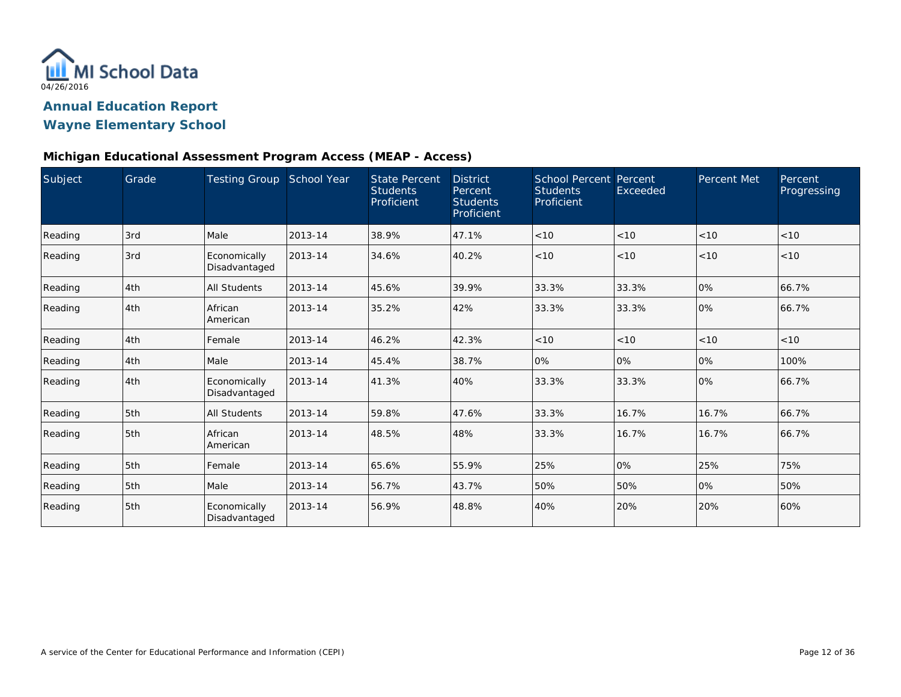

### **Wayne Elementary School**

#### **Michigan Educational Assessment Program Access (MEAP - Access)**

| Subject | Grade | <b>Testing Group</b>          | School Year | <b>State Percent</b><br><b>Students</b><br>Proficient | <b>District</b><br>Percent<br><b>Students</b><br>Proficient | School Percent Percent<br><b>Students</b><br>Proficient | Exceeded | <b>Percent Met</b> | Percent<br>Progressing |
|---------|-------|-------------------------------|-------------|-------------------------------------------------------|-------------------------------------------------------------|---------------------------------------------------------|----------|--------------------|------------------------|
| Reading | 3rd   | Male                          | 2013-14     | 38.9%                                                 | 47.1%                                                       | < 10                                                    | < 10     | < 10               | < 10                   |
| Reading | 3rd   | Economically<br>Disadvantaged | 2013-14     | 34.6%                                                 | 40.2%                                                       | < 10                                                    | < 10     | < 10               | < 10                   |
| Reading | 4th   | <b>All Students</b>           | 2013-14     | 45.6%                                                 | 39.9%                                                       | 33.3%                                                   | 33.3%    | 0%                 | 66.7%                  |
| Reading | 4th   | African<br>American           | 2013-14     | 35.2%                                                 | 42%                                                         | 33.3%                                                   | 33.3%    | 0%                 | 66.7%                  |
| Reading | 4th   | Female                        | 2013-14     | 46.2%                                                 | 42.3%                                                       | < 10                                                    | < 10     | < 10               | < 10                   |
| Reading | 4th   | Male                          | 2013-14     | 45.4%                                                 | 38.7%                                                       | 0%                                                      | 0%       | 0%                 | 100%                   |
| Reading | 4th   | Economically<br>Disadvantaged | 2013-14     | 41.3%                                                 | 40%                                                         | 33.3%                                                   | 33.3%    | 0%                 | 66.7%                  |
| Reading | 5th   | <b>All Students</b>           | 2013-14     | 59.8%                                                 | 47.6%                                                       | 33.3%                                                   | 16.7%    | 16.7%              | 66.7%                  |
| Reading | 5th   | African<br>American           | 2013-14     | 48.5%                                                 | 48%                                                         | 33.3%                                                   | 16.7%    | 16.7%              | 66.7%                  |
| Reading | 5th   | Female                        | 2013-14     | 65.6%                                                 | 55.9%                                                       | 25%                                                     | 0%       | 25%                | 75%                    |
| Reading | 5th   | Male                          | 2013-14     | 56.7%                                                 | 43.7%                                                       | 50%                                                     | 50%      | 0%                 | 50%                    |
| Reading | 5th   | Economically<br>Disadvantaged | 2013-14     | 56.9%                                                 | 48.8%                                                       | 40%                                                     | 20%      | 20%                | 60%                    |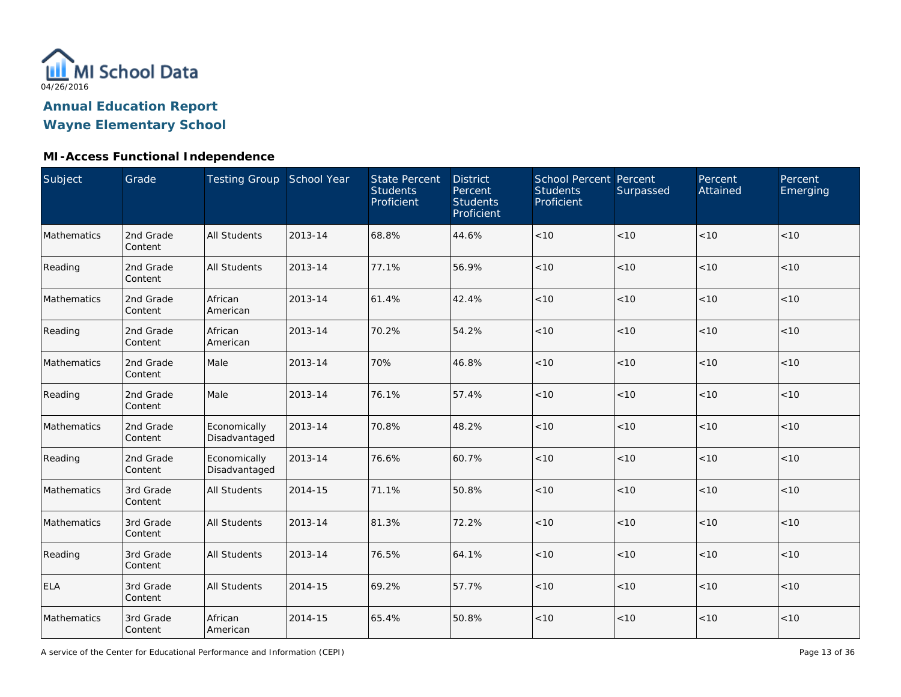

## **Wayne Elementary School**

### **MI-Access Functional Independence**

| Subject     | Grade                | Testing Group School Year     |         | <b>State Percent</b><br><b>Students</b><br>Proficient | <b>District</b><br>Percent<br><b>Students</b><br>Proficient | School Percent Percent<br><b>Students</b><br>Proficient | Surpassed | Percent<br>Attained | Percent<br>Emerging |
|-------------|----------------------|-------------------------------|---------|-------------------------------------------------------|-------------------------------------------------------------|---------------------------------------------------------|-----------|---------------------|---------------------|
| Mathematics | 2nd Grade<br>Content | <b>All Students</b>           | 2013-14 | 68.8%                                                 | 44.6%                                                       | $<10$                                                   | < 10      | < 10                | < 10                |
| Reading     | 2nd Grade<br>Content | <b>All Students</b>           | 2013-14 | 77.1%                                                 | 56.9%                                                       | < 10                                                    | < 10      | < 10                | < 10                |
| Mathematics | 2nd Grade<br>Content | African<br>American           | 2013-14 | 61.4%                                                 | 42.4%                                                       | < 10                                                    | < 10      | < 10                | < 10                |
| Reading     | 2nd Grade<br>Content | African<br>American           | 2013-14 | 70.2%                                                 | 54.2%                                                       | < 10                                                    | < 10      | < 10                | < 10                |
| Mathematics | 2nd Grade<br>Content | Male                          | 2013-14 | 70%                                                   | 46.8%                                                       | < 10                                                    | < 10      | < 10                | < 10                |
| Reading     | 2nd Grade<br>Content | Male                          | 2013-14 | 76.1%                                                 | 57.4%                                                       | < 10                                                    | < 10      | < 10                | < 10                |
| Mathematics | 2nd Grade<br>Content | Economically<br>Disadvantaged | 2013-14 | 70.8%                                                 | 48.2%                                                       | < 10                                                    | < 10      | < 10                | < 10                |
| Reading     | 2nd Grade<br>Content | Economically<br>Disadvantaged | 2013-14 | 76.6%                                                 | 60.7%                                                       | < 10                                                    | < 10      | < 10                | < 10                |
| Mathematics | 3rd Grade<br>Content | <b>All Students</b>           | 2014-15 | 71.1%                                                 | 50.8%                                                       | $<10$                                                   | < 10      | < 10                | < 10                |
| Mathematics | 3rd Grade<br>Content | <b>All Students</b>           | 2013-14 | 81.3%                                                 | 72.2%                                                       | $<10$                                                   | < 10      | < 10                | < 10                |
| Reading     | 3rd Grade<br>Content | <b>All Students</b>           | 2013-14 | 76.5%                                                 | 64.1%                                                       | $<10$                                                   | $<10$     | < 10                | < 10                |
| <b>ELA</b>  | 3rd Grade<br>Content | <b>All Students</b>           | 2014-15 | 69.2%                                                 | 57.7%                                                       | $<10$                                                   | < 10      | < 10                | < 10                |
| Mathematics | 3rd Grade<br>Content | African<br>American           | 2014-15 | 65.4%                                                 | 50.8%                                                       | < 10                                                    | < 10      | < 10                | < 10                |

A service of the Center for Educational Performance and Information (CEPI)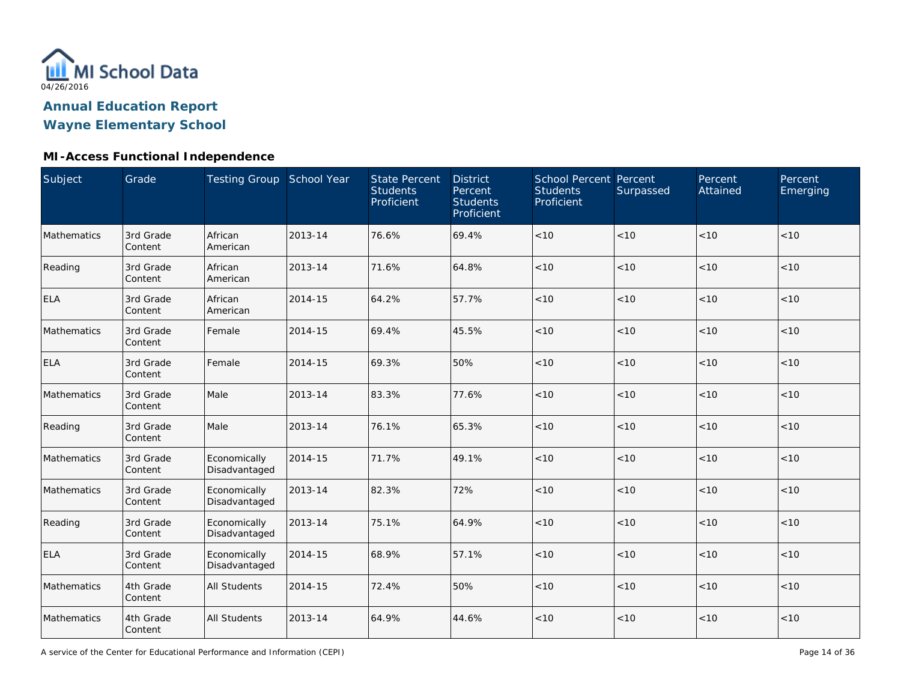

## **Wayne Elementary School**

### **MI-Access Functional Independence**

| Subject     | Grade                | Testing Group School Year     |         | <b>State Percent</b><br><b>Students</b><br>Proficient | <b>District</b><br>Percent<br><b>Students</b><br>Proficient | School Percent Percent<br><b>Students</b><br>Proficient | Surpassed | Percent<br>Attained | Percent<br>Emerging |
|-------------|----------------------|-------------------------------|---------|-------------------------------------------------------|-------------------------------------------------------------|---------------------------------------------------------|-----------|---------------------|---------------------|
| Mathematics | 3rd Grade<br>Content | African<br>American           | 2013-14 | 76.6%                                                 | 69.4%                                                       | $<10$                                                   | < 10      | < 10                | < 10                |
| Reading     | 3rd Grade<br>Content | African<br>American           | 2013-14 | 71.6%                                                 | 64.8%                                                       | < 10                                                    | < 10      | < 10                | < 10                |
| <b>ELA</b>  | 3rd Grade<br>Content | African<br>American           | 2014-15 | 64.2%                                                 | 57.7%                                                       | < 10                                                    | < 10      | < 10                | $<10$               |
| Mathematics | 3rd Grade<br>Content | Female                        | 2014-15 | 69.4%                                                 | 45.5%                                                       | < 10                                                    | < 10      | < 10                | < 10                |
| <b>ELA</b>  | 3rd Grade<br>Content | Female                        | 2014-15 | 69.3%                                                 | 50%                                                         | $<10$                                                   | < 10      | < 10                | < 10                |
| Mathematics | 3rd Grade<br>Content | Male                          | 2013-14 | 83.3%                                                 | 77.6%                                                       | $<10$                                                   | < 10      | < 10                | < 10                |
| Reading     | 3rd Grade<br>Content | Male                          | 2013-14 | 76.1%                                                 | 65.3%                                                       | < 10                                                    | < 10      | < 10                | < 10                |
| Mathematics | 3rd Grade<br>Content | Economically<br>Disadvantaged | 2014-15 | 71.7%                                                 | 49.1%                                                       | < 10                                                    | < 10      | < 10                | < 10                |
| Mathematics | 3rd Grade<br>Content | Economically<br>Disadvantaged | 2013-14 | 82.3%                                                 | 72%                                                         | $<10$                                                   | < 10      | < 10                | < 10                |
| Reading     | 3rd Grade<br>Content | Economically<br>Disadvantaged | 2013-14 | 75.1%                                                 | 64.9%                                                       | $<10$                                                   | < 10      | < 10                | < 10                |
| <b>ELA</b>  | 3rd Grade<br>Content | Economically<br>Disadvantaged | 2014-15 | 68.9%                                                 | 57.1%                                                       | < 10                                                    | < 10      | < 10                | < 10                |
| Mathematics | 4th Grade<br>Content | <b>All Students</b>           | 2014-15 | 72.4%                                                 | 50%                                                         | $<10$                                                   | < 10      | < 10                | < 10                |
| Mathematics | 4th Grade<br>Content | <b>All Students</b>           | 2013-14 | 64.9%                                                 | 44.6%                                                       | $<10$                                                   | $<10$     | < 10                | < 10                |

A service of the Center for Educational Performance and Information (CEPI)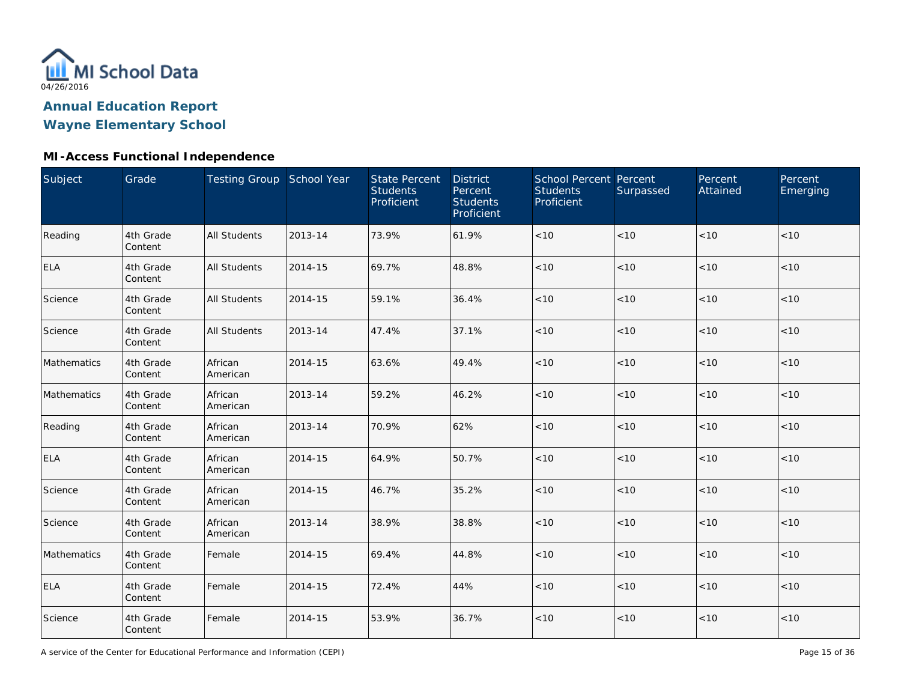

## **Wayne Elementary School**

### **MI-Access Functional Independence**

| <b>Subject</b> | Grade                | Testing Group School Year |         | <b>State Percent</b><br><b>Students</b><br>Proficient | <b>District</b><br>Percent<br><b>Students</b><br>Proficient | <b>School Percent Percent</b><br><b>Students</b><br>Proficient | Surpassed | Percent<br>Attained | Percent<br>Emerging |
|----------------|----------------------|---------------------------|---------|-------------------------------------------------------|-------------------------------------------------------------|----------------------------------------------------------------|-----------|---------------------|---------------------|
| Reading        | 4th Grade<br>Content | <b>All Students</b>       | 2013-14 | 73.9%                                                 | 61.9%                                                       | < 10                                                           | < 10      | < 10                | < 10                |
| <b>ELA</b>     | 4th Grade<br>Content | <b>All Students</b>       | 2014-15 | 69.7%                                                 | 48.8%                                                       | < 10                                                           | < 10      | $<10$               | < 10                |
| Science        | 4th Grade<br>Content | <b>All Students</b>       | 2014-15 | 59.1%                                                 | 36.4%                                                       | < 10                                                           | < 10      | < 10                | < 10                |
| Science        | 4th Grade<br>Content | <b>All Students</b>       | 2013-14 | 47.4%                                                 | 37.1%                                                       | $<10$                                                          | $<10$     | $<10$               | $<10$               |
| Mathematics    | 4th Grade<br>Content | African<br>American       | 2014-15 | 63.6%                                                 | 49.4%                                                       | <10                                                            | <10       | <10                 | $<10$               |
| Mathematics    | 4th Grade<br>Content | African<br>American       | 2013-14 | 59.2%                                                 | 46.2%                                                       | $<10$                                                          | < 10      | < 10                | < 10                |
| Reading        | 4th Grade<br>Content | African<br>American       | 2013-14 | 70.9%                                                 | 62%                                                         | < 10                                                           | < 10      | < 10                | < 10                |
| <b>ELA</b>     | 4th Grade<br>Content | African<br>American       | 2014-15 | 64.9%                                                 | 50.7%                                                       | < 10                                                           | < 10      | < 10                | < 10                |
| Science        | 4th Grade<br>Content | African<br>American       | 2014-15 | 46.7%                                                 | 35.2%                                                       | $<10$                                                          | < 10      | < 10                | $<10$               |
| Science        | 4th Grade<br>Content | African<br>American       | 2013-14 | 38.9%                                                 | 38.8%                                                       | < 10                                                           | < 10      | < 10                | < 10                |
| Mathematics    | 4th Grade<br>Content | Female                    | 2014-15 | 69.4%                                                 | 44.8%                                                       | $<10$                                                          | < 10      | $<10$               | $<10$               |
| <b>ELA</b>     | 4th Grade<br>Content | Female                    | 2014-15 | 72.4%                                                 | 44%                                                         | < 10                                                           | < 10      | < 10                | < 10                |
| Science        | 4th Grade<br>Content | Female                    | 2014-15 | 53.9%                                                 | 36.7%                                                       | < 10                                                           | < 10      | < 10                | < 10                |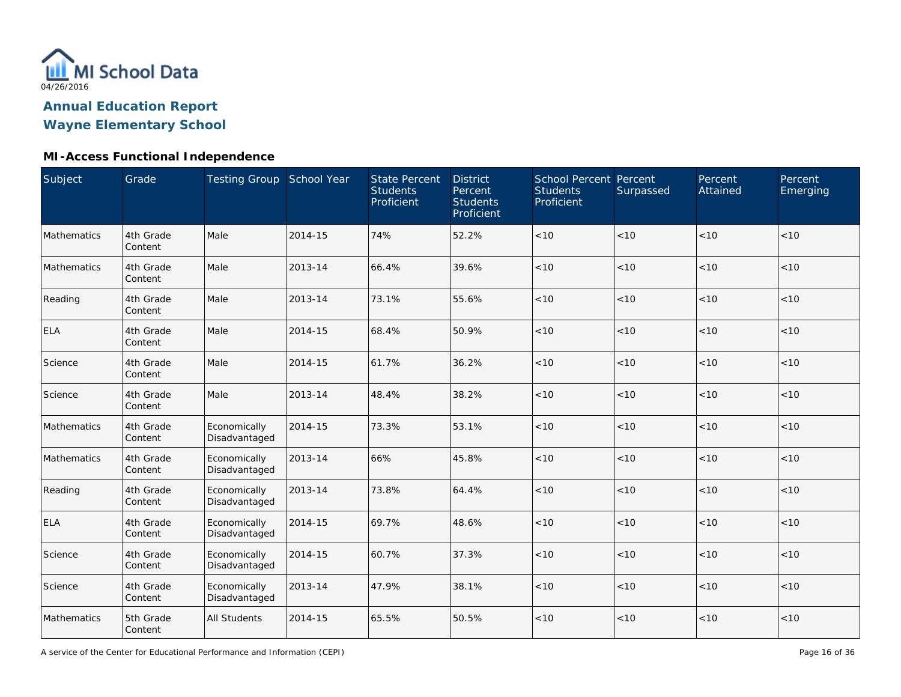

## **Wayne Elementary School**

### **MI-Access Functional Independence**

| Subject     | Grade                | Testing Group School Year     |         | <b>State Percent</b><br><b>Students</b><br>Proficient | <b>District</b><br>Percent<br><b>Students</b><br>Proficient | School Percent Percent<br><b>Students</b><br>Proficient | Surpassed | Percent<br>Attained | Percent<br>Emerging |
|-------------|----------------------|-------------------------------|---------|-------------------------------------------------------|-------------------------------------------------------------|---------------------------------------------------------|-----------|---------------------|---------------------|
| Mathematics | 4th Grade<br>Content | Male                          | 2014-15 | 74%                                                   | 52.2%                                                       | $<10$                                                   | < 10      | < 10                | < 10                |
| Mathematics | 4th Grade<br>Content | Male                          | 2013-14 | 66.4%                                                 | 39.6%                                                       | < 10                                                    | < 10      | < 10                | < 10                |
| Reading     | 4th Grade<br>Content | Male                          | 2013-14 | 73.1%                                                 | 55.6%                                                       | < 10                                                    | < 10      | < 10                | < 10                |
| <b>ELA</b>  | 4th Grade<br>Content | Male                          | 2014-15 | 68.4%                                                 | 50.9%                                                       | < 10                                                    | < 10      | < 10                | < 10                |
| Science     | 4th Grade<br>Content | Male                          | 2014-15 | 61.7%                                                 | 36.2%                                                       | < 10                                                    | < 10      | < 10                | < 10                |
| Science     | 4th Grade<br>Content | Male                          | 2013-14 | 48.4%                                                 | 38.2%                                                       | $<10$                                                   | < 10      | < 10                | < 10                |
| Mathematics | 4th Grade<br>Content | Economically<br>Disadvantaged | 2014-15 | 73.3%                                                 | 53.1%                                                       | < 10                                                    | < 10      | < 10                | < 10                |
| Mathematics | 4th Grade<br>Content | Economically<br>Disadvantaged | 2013-14 | 66%                                                   | 45.8%                                                       | < 10                                                    | < 10      | < 10                | < 10                |
| Reading     | 4th Grade<br>Content | Economically<br>Disadvantaged | 2013-14 | 73.8%                                                 | 64.4%                                                       | $<10$                                                   | < 10      | < 10                | < 10                |
| <b>ELA</b>  | 4th Grade<br>Content | Economically<br>Disadvantaged | 2014-15 | 69.7%                                                 | 48.6%                                                       | $<10$                                                   | < 10      | < 10                | < 10                |
| Science     | 4th Grade<br>Content | Economically<br>Disadvantaged | 2014-15 | 60.7%                                                 | 37.3%                                                       | $<10$                                                   | < 10      | < 10                | < 10                |
| Science     | 4th Grade<br>Content | Economically<br>Disadvantaged | 2013-14 | 47.9%                                                 | 38.1%                                                       | < 10                                                    | < 10      | < 10                | < 10                |
| Mathematics | 5th Grade<br>Content | <b>All Students</b>           | 2014-15 | 65.5%                                                 | 50.5%                                                       | $<10$                                                   | < 10      | < 10                | < 10                |

A service of the Center for Educational Performance and Information (CEPI)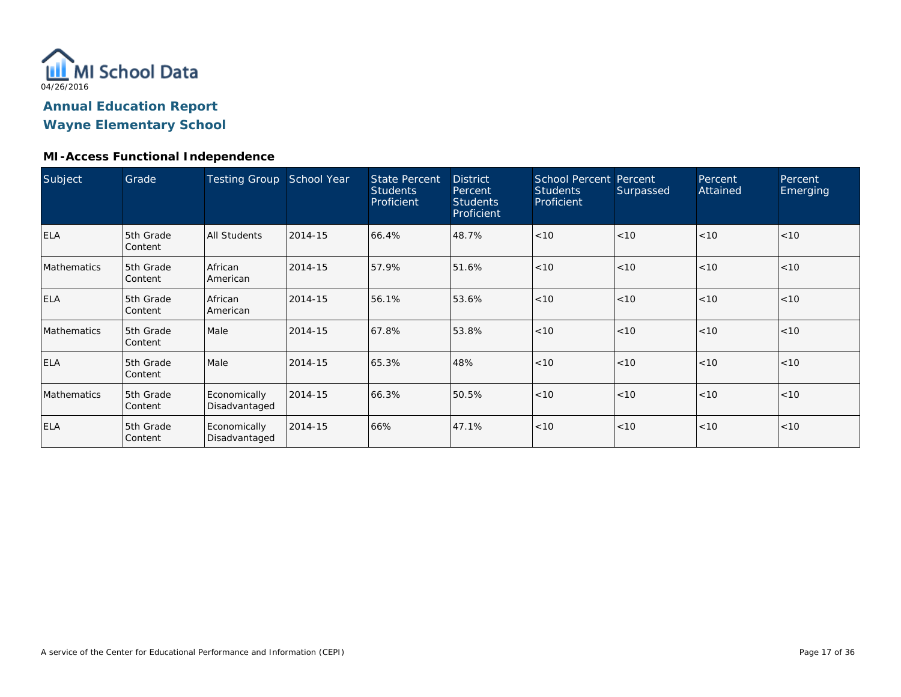

## **Wayne Elementary School**

### **MI-Access Functional Independence**

| Subject     | Grade                | <b>Testing Group</b>          | School Year | <b>State Percent</b><br><b>Students</b><br>Proficient | <b>District</b><br>Percent<br><b>Students</b><br>Proficient | <b>School Percent Percent</b><br><b>Students</b><br>Proficient | Surpassed | Percent<br>Attained | Percent<br>Emerging |
|-------------|----------------------|-------------------------------|-------------|-------------------------------------------------------|-------------------------------------------------------------|----------------------------------------------------------------|-----------|---------------------|---------------------|
| <b>ELA</b>  | 5th Grade<br>Content | <b>All Students</b>           | 2014-15     | 66.4%                                                 | 48.7%                                                       | < 10                                                           | < 10      | < 10                | < 10                |
| Mathematics | 5th Grade<br>Content | African<br>American           | 2014-15     | 57.9%                                                 | 51.6%                                                       | < 10                                                           | < 10      | < 10                | < 10                |
| <b>ELA</b>  | 5th Grade<br>Content | African<br>American           | 2014-15     | 56.1%                                                 | 53.6%                                                       | < 10                                                           | < 10      | < 10                | < 10                |
| Mathematics | 5th Grade<br>Content | Male                          | 2014-15     | 67.8%                                                 | 53.8%                                                       | < 10                                                           | < 10      | < 10                | < 10                |
| <b>ELA</b>  | 5th Grade<br>Content | Male                          | 2014-15     | 65.3%                                                 | 48%                                                         | < 10                                                           | < 10      | < 10                | < 10                |
| Mathematics | 5th Grade<br>Content | Economically<br>Disadvantaged | 2014-15     | 66.3%                                                 | 50.5%                                                       | < 10                                                           | < 10      | < 10                | < 10                |
| <b>ELA</b>  | 5th Grade<br>Content | Economically<br>Disadvantaged | 2014-15     | 66%                                                   | 47.1%                                                       | < 10                                                           | < 10      | < 10                | < 10                |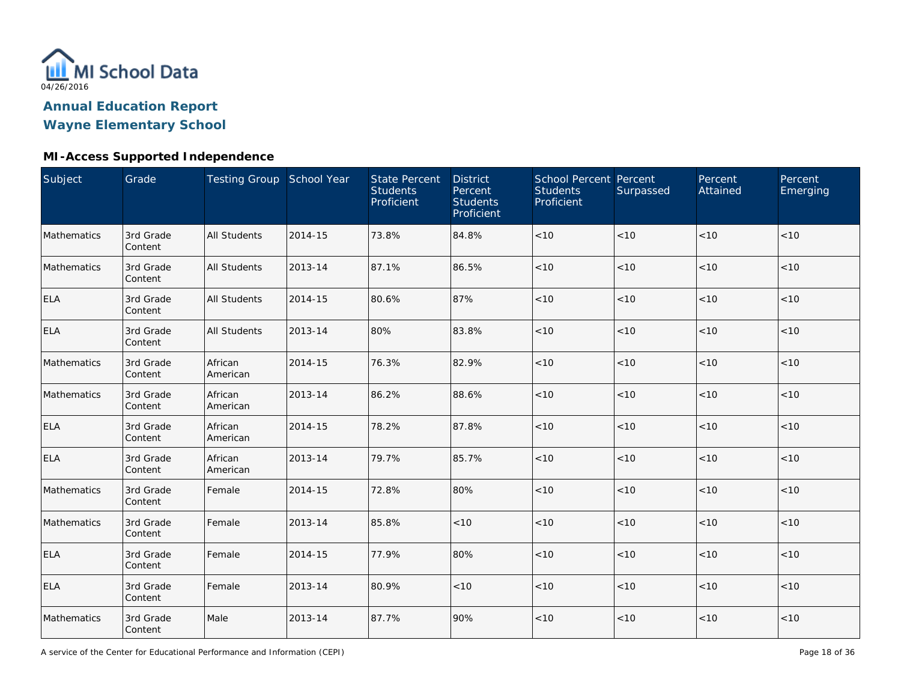

## **Wayne Elementary School**

### **MI-Access Supported Independence**

| Subject     | Grade                | Testing Group School Year |         | <b>State Percent</b><br><b>Students</b><br>Proficient | <b>District</b><br>Percent<br><b>Students</b><br>Proficient | School Percent Percent<br><b>Students</b><br>Proficient | Surpassed | Percent<br>Attained | Percent<br>Emerging |
|-------------|----------------------|---------------------------|---------|-------------------------------------------------------|-------------------------------------------------------------|---------------------------------------------------------|-----------|---------------------|---------------------|
| Mathematics | 3rd Grade<br>Content | <b>All Students</b>       | 2014-15 | 73.8%                                                 | 84.8%                                                       | $<10$                                                   | < 10      | < 10                | < 10                |
| Mathematics | 3rd Grade<br>Content | <b>All Students</b>       | 2013-14 | 87.1%                                                 | 86.5%                                                       | < 10                                                    | < 10      | < 10                | < 10                |
| <b>ELA</b>  | 3rd Grade<br>Content | <b>All Students</b>       | 2014-15 | 80.6%                                                 | 87%                                                         | $<10$                                                   | < 10      | < 10                | < 10                |
| <b>ELA</b>  | 3rd Grade<br>Content | <b>All Students</b>       | 2013-14 | 80%                                                   | 83.8%                                                       | $<10$                                                   | < 10      | < 10                | $<10$               |
| Mathematics | 3rd Grade<br>Content | African<br>American       | 2014-15 | 76.3%                                                 | 82.9%                                                       | $<10$                                                   | < 10      | < 10                | < 10                |
| Mathematics | 3rd Grade<br>Content | African<br>American       | 2013-14 | 86.2%                                                 | 88.6%                                                       | < 10                                                    | < 10      | < 10                | < 10                |
| <b>ELA</b>  | 3rd Grade<br>Content | African<br>American       | 2014-15 | 78.2%                                                 | 87.8%                                                       | < 10                                                    | < 10      | < 10                | $<10$               |
| <b>ELA</b>  | 3rd Grade<br>Content | African<br>American       | 2013-14 | 79.7%                                                 | 85.7%                                                       | < 10                                                    | < 10      | < 10                | < 10                |
| Mathematics | 3rd Grade<br>Content | Female                    | 2014-15 | 72.8%                                                 | 80%                                                         | $<10$                                                   | < 10      | $<10$               | $<10$               |
| Mathematics | 3rd Grade<br>Content | Female                    | 2013-14 | 85.8%                                                 | < 10                                                        | $<10$                                                   | < 10      | < 10                | < 10                |
| <b>ELA</b>  | 3rd Grade<br>Content | Female                    | 2014-15 | 77.9%                                                 | 80%                                                         | $<10$                                                   | <10       | < 10                | $<10$               |
| <b>ELA</b>  | 3rd Grade<br>Content | Female                    | 2013-14 | 80.9%                                                 | < 10                                                        | $<10$                                                   | < 10      | < 10                | < 10                |
| Mathematics | 3rd Grade<br>Content | Male                      | 2013-14 | 87.7%                                                 | 90%                                                         | $<10$                                                   | < 10      | < 10                | $<10$               |

A service of the Center for Educational Performance and Information (CEPI)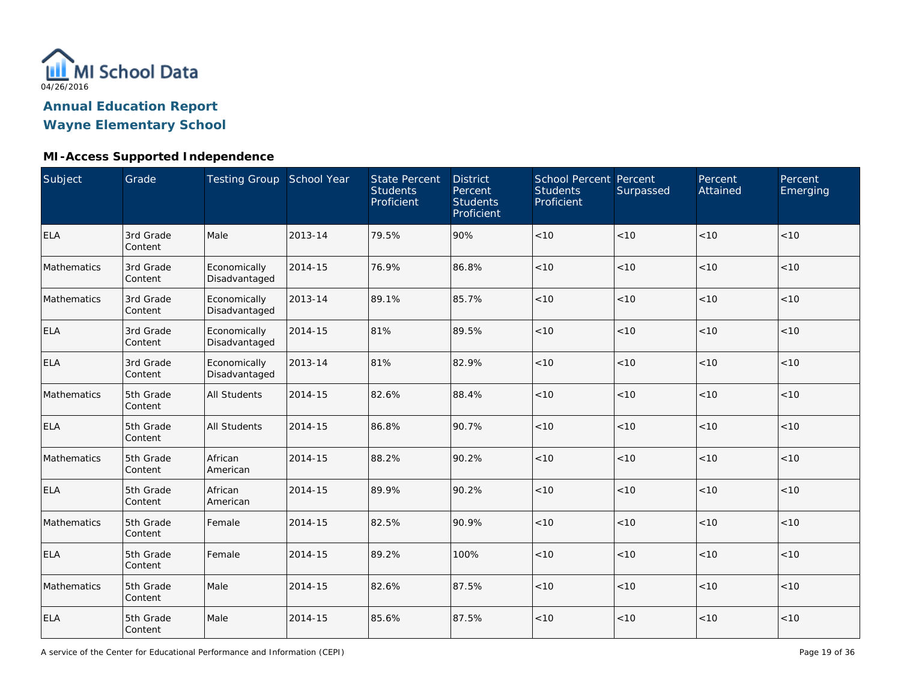

## **Wayne Elementary School**

### **MI-Access Supported Independence**

| <b>Subject</b> | Grade                | Testing Group School Year     |         | <b>State Percent</b><br><b>Students</b><br>Proficient | <b>District</b><br>Percent<br><b>Students</b><br>Proficient | School Percent Percent<br><b>Students</b><br>Proficient | Surpassed | Percent<br>Attained | Percent<br>Emerging |
|----------------|----------------------|-------------------------------|---------|-------------------------------------------------------|-------------------------------------------------------------|---------------------------------------------------------|-----------|---------------------|---------------------|
| <b>ELA</b>     | 3rd Grade<br>Content | Male                          | 2013-14 | 79.5%                                                 | 90%                                                         | < 10                                                    | < 10      | < 10                | < 10                |
| Mathematics    | 3rd Grade<br>Content | Economically<br>Disadvantaged | 2014-15 | 76.9%                                                 | 86.8%                                                       | < 10                                                    | < 10      | < 10                | < 10                |
| Mathematics    | 3rd Grade<br>Content | Economically<br>Disadvantaged | 2013-14 | 89.1%                                                 | 85.7%                                                       | < 10                                                    | < 10      | < 10                | < 10                |
| <b>ELA</b>     | 3rd Grade<br>Content | Economically<br>Disadvantaged | 2014-15 | 81%                                                   | 89.5%                                                       | < 10                                                    | <10       | < 10                | < 10                |
| <b>ELA</b>     | 3rd Grade<br>Content | Economically<br>Disadvantaged | 2013-14 | 81%                                                   | 82.9%                                                       | < 10                                                    | <10       | < 10                | < 10                |
| Mathematics    | 5th Grade<br>Content | <b>All Students</b>           | 2014-15 | 82.6%                                                 | 88.4%                                                       | $<10$                                                   | <10       | < 10                | $<10$               |
| <b>ELA</b>     | 5th Grade<br>Content | <b>All Students</b>           | 2014-15 | 86.8%                                                 | 90.7%                                                       | $<10$                                                   | <10       | < 10                | $<10$               |
| Mathematics    | 5th Grade<br>Content | African<br>American           | 2014-15 | 88.2%                                                 | 90.2%                                                       | $<10$                                                   | < 10      | < 10                | < 10                |
| <b>ELA</b>     | 5th Grade<br>Content | African<br>American           | 2014-15 | 89.9%                                                 | 90.2%                                                       | $<10$                                                   | <10       | < 10                | $<10$               |
| Mathematics    | 5th Grade<br>Content | Female                        | 2014-15 | 82.5%                                                 | 90.9%                                                       | $<10$                                                   | <10       | < 10                | < 10                |
| <b>ELA</b>     | 5th Grade<br>Content | Female                        | 2014-15 | 89.2%                                                 | 100%                                                        | < 10                                                    | <10       | < 10                | $<10$               |
| Mathematics    | 5th Grade<br>Content | Male                          | 2014-15 | 82.6%                                                 | 87.5%                                                       | $<10$                                                   | <10       | < 10                | < 10                |
| <b>ELA</b>     | 5th Grade<br>Content | Male                          | 2014-15 | 85.6%                                                 | 87.5%                                                       | $<10$                                                   | <10       | < 10                | < 10                |

A service of the Center for Educational Performance and Information (CEPI)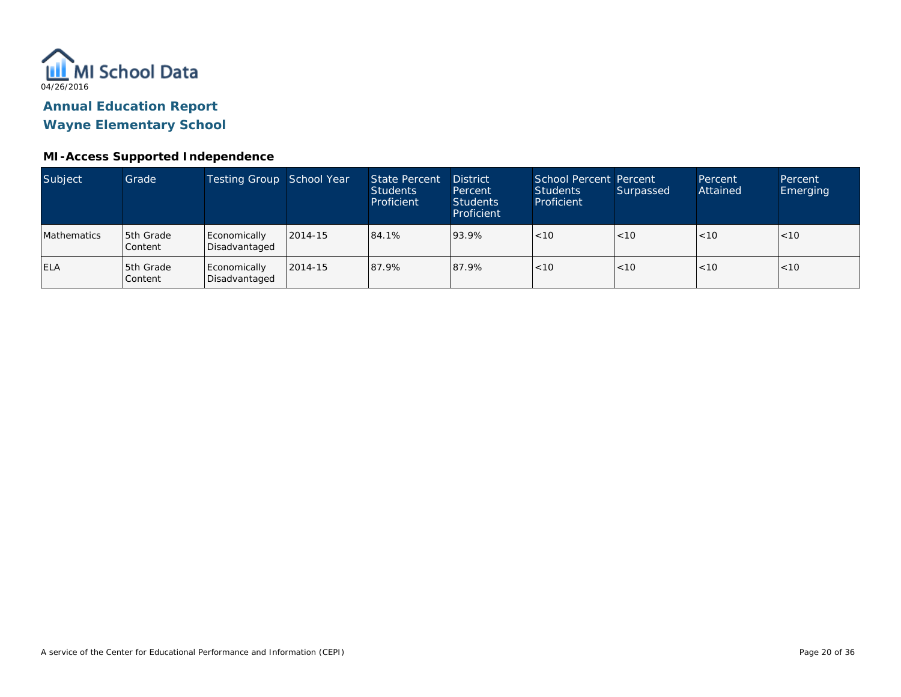

**Wayne Elementary School**

#### **MI-Access Supported Independence**

| Subject            | Grade                | Testing Group School Year     |         | State Percent<br><b>Students</b><br>Proficient | <b>District</b><br>Percent<br>Students<br>Proficient | School Percent Percent<br><b>Students</b><br>Proficient | Surpassed | Percent<br>Attained | Percent<br><b>Emerging</b> |
|--------------------|----------------------|-------------------------------|---------|------------------------------------------------|------------------------------------------------------|---------------------------------------------------------|-----------|---------------------|----------------------------|
| <b>Mathematics</b> | 5th Grade<br>Content | Economically<br>Disadvantaged | 2014-15 | 84.1%                                          | 93.9%                                                | < 10                                                    | < 10      | < 10                | < 10                       |
| <b>ELA</b>         | 5th Grade<br>Content | Economically<br>Disadvantaged | 2014-15 | 87.9%                                          | 87.9%                                                | < 10                                                    | < 10      | < 10                | < 10                       |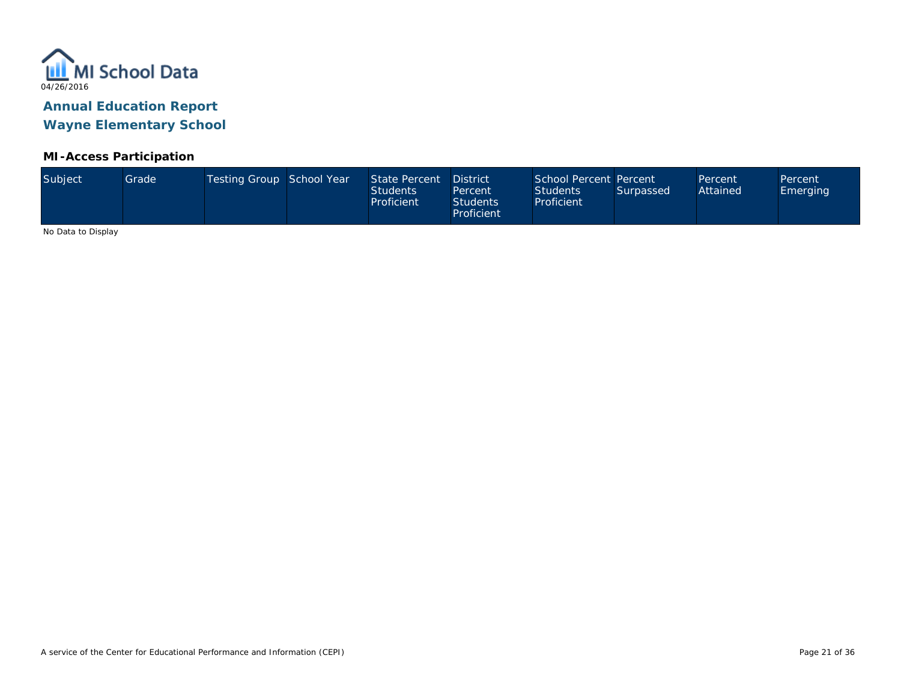

#### **MI-Access Participation**

|  | Subject | Grade <sup>1</sup> | Testing Group School Year |  | State Percent<br>Students<br>Proficient | <b>District</b><br>Percent<br><b>Students</b><br>Proficient | School Percent Percent<br><b>Students</b><br>Proficient | Surpassed | Percent<br>Attained | Percent<br>Emerging |
|--|---------|--------------------|---------------------------|--|-----------------------------------------|-------------------------------------------------------------|---------------------------------------------------------|-----------|---------------------|---------------------|
|--|---------|--------------------|---------------------------|--|-----------------------------------------|-------------------------------------------------------------|---------------------------------------------------------|-----------|---------------------|---------------------|

No Data to Display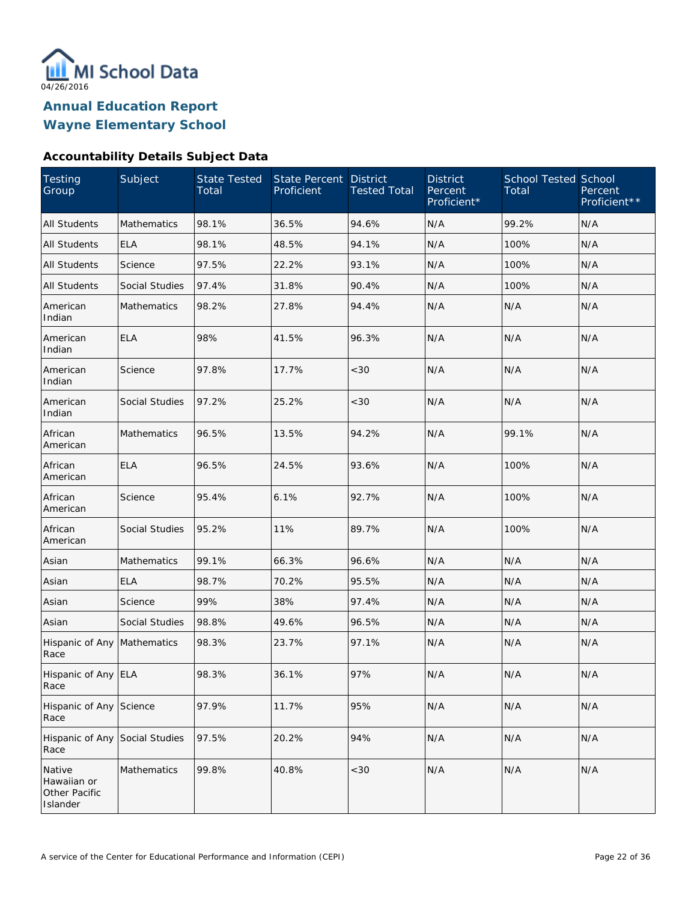

**Wayne Elementary School**

#### **Accountability Details Subject Data**

| Testing<br>Group                                   | Subject            | <b>State Tested</b><br>Total | <b>State Percent</b><br>Proficient | <b>District</b><br><b>Tested Total</b> | <b>District</b><br>Percent<br>Proficient* | <b>School Tested School</b><br>Total | Percent<br>Proficient** |
|----------------------------------------------------|--------------------|------------------------------|------------------------------------|----------------------------------------|-------------------------------------------|--------------------------------------|-------------------------|
| <b>All Students</b>                                | <b>Mathematics</b> | 98.1%                        | 36.5%                              | 94.6%                                  | N/A                                       | 99.2%                                | N/A                     |
| <b>All Students</b>                                | <b>ELA</b>         | 98.1%                        | 48.5%                              | 94.1%                                  | N/A                                       | 100%                                 | N/A                     |
| <b>All Students</b>                                | Science            | 97.5%                        | 22.2%                              | 93.1%                                  | N/A                                       | 100%                                 | N/A                     |
| <b>All Students</b>                                | Social Studies     | 97.4%                        | 31.8%                              | 90.4%                                  | N/A                                       | 100%                                 | N/A                     |
| American<br>Indian                                 | <b>Mathematics</b> | 98.2%                        | 27.8%                              | 94.4%                                  | N/A                                       | N/A                                  | N/A                     |
| American<br>Indian                                 | <b>ELA</b>         | 98%                          | 41.5%                              | 96.3%                                  | N/A                                       | N/A                                  | N/A                     |
| American<br>Indian                                 | Science            | 97.8%                        | 17.7%                              | <30                                    | N/A                                       | N/A                                  | N/A                     |
| American<br>Indian                                 | Social Studies     | 97.2%                        | 25.2%                              | <30                                    | N/A                                       | N/A                                  | N/A                     |
| African<br>American                                | <b>Mathematics</b> | 96.5%                        | 13.5%                              | 94.2%                                  | N/A                                       | 99.1%                                | N/A                     |
| African<br>American                                | <b>ELA</b>         | 96.5%                        | 24.5%                              | 93.6%                                  | N/A                                       | 100%                                 | N/A                     |
| African<br>American                                | Science            | 95.4%                        | 6.1%                               | 92.7%                                  | N/A                                       | 100%                                 | N/A                     |
| African<br>American                                | Social Studies     | 95.2%                        | 11%                                | 89.7%                                  | N/A                                       | 100%                                 | N/A                     |
| Asian                                              | <b>Mathematics</b> | 99.1%                        | 66.3%                              | 96.6%                                  | N/A                                       | N/A                                  | N/A                     |
| Asian                                              | <b>ELA</b>         | 98.7%                        | 70.2%                              | 95.5%                                  | N/A                                       | N/A                                  | N/A                     |
| Asian                                              | Science            | 99%                          | 38%                                | 97.4%                                  | N/A                                       | N/A                                  | N/A                     |
| Asian                                              | Social Studies     | 98.8%                        | 49.6%                              | 96.5%                                  | N/A                                       | N/A                                  | N/A                     |
| Hispanic of Any Mathematics<br>Race                |                    | 98.3%                        | 23.7%                              | 97.1%                                  | N/A                                       | N/A                                  | N/A                     |
| Hispanic of Any ELA<br>Race                        |                    | 98.3%                        | 36.1%                              | 97%                                    | N/A                                       | N/A                                  | N/A                     |
| Hispanic of Any Science<br>Race                    |                    | 97.9%                        | 11.7%                              | 95%                                    | N/A                                       | N/A                                  | N/A                     |
| Hispanic of Any<br>Race                            | Social Studies     | 97.5%                        | 20.2%                              | 94%                                    | N/A                                       | N/A                                  | N/A                     |
| Native<br>Hawaiian or<br>Other Pacific<br>Islander | Mathematics        | 99.8%                        | 40.8%                              | <30                                    | N/A                                       | N/A                                  | N/A                     |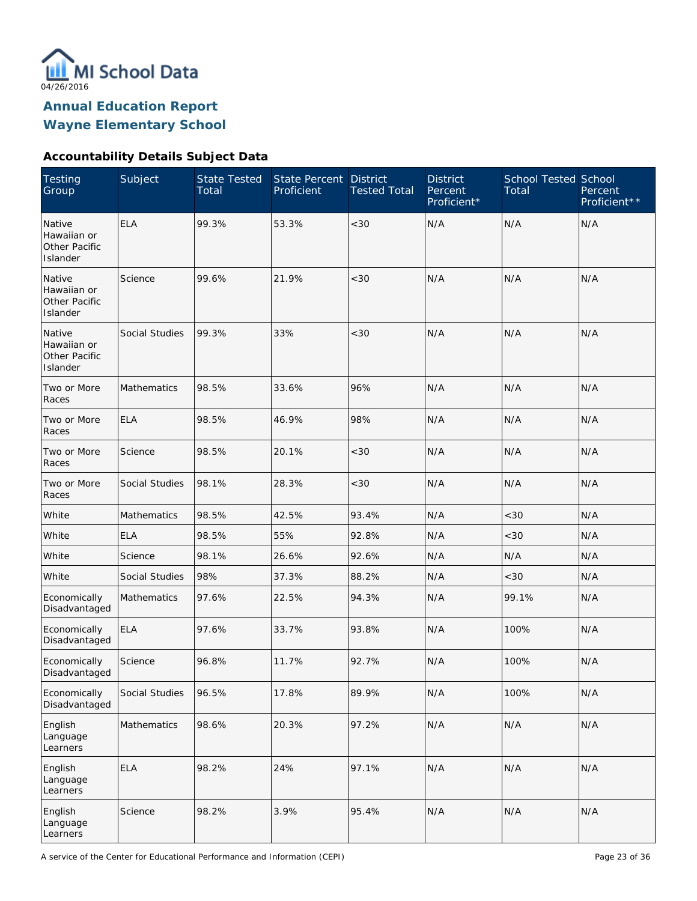

**Wayne Elementary School**

#### **Accountability Details Subject Data**

| <b>Testing</b><br>Group                                   | Subject            | <b>State Tested</b><br>Total | State Percent<br>Proficient | <b>District</b><br><b>Tested Total</b> | <b>District</b><br>Percent<br>Proficient* | <b>School Tested School</b><br>Total | Percent<br>Proficient** |
|-----------------------------------------------------------|--------------------|------------------------------|-----------------------------|----------------------------------------|-------------------------------------------|--------------------------------------|-------------------------|
| Native<br>Hawaiian or<br><b>Other Pacific</b><br>Islander | <b>ELA</b>         | 99.3%                        | 53.3%                       | < 30                                   | N/A                                       | N/A                                  | N/A                     |
| Native<br>Hawaiian or<br>Other Pacific<br>Islander        | Science            | 99.6%                        | 21.9%                       | < 30                                   | N/A                                       | N/A                                  | N/A                     |
| Native<br>Hawaiian or<br>Other Pacific<br>Islander        | Social Studies     | 99.3%                        | 33%                         | < 30                                   | N/A                                       | N/A                                  | N/A                     |
| Two or More<br>Races                                      | Mathematics        | 98.5%                        | 33.6%                       | 96%                                    | N/A                                       | N/A                                  | N/A                     |
| Two or More<br>Races                                      | <b>ELA</b>         | 98.5%                        | 46.9%                       | 98%                                    | N/A                                       | N/A                                  | N/A                     |
| Two or More<br>Races                                      | Science            | 98.5%                        | 20.1%                       | $<30$                                  | N/A                                       | N/A                                  | N/A                     |
| Two or More<br>Races                                      | Social Studies     | 98.1%                        | 28.3%                       | $<30$                                  | N/A                                       | N/A                                  | N/A                     |
| White                                                     | <b>Mathematics</b> | 98.5%                        | 42.5%                       | 93.4%                                  | N/A                                       | <30                                  | N/A                     |
| White                                                     | <b>ELA</b>         | 98.5%                        | 55%                         | 92.8%                                  | N/A                                       | <30                                  | N/A                     |
| White                                                     | Science            | 98.1%                        | 26.6%                       | 92.6%                                  | N/A                                       | N/A                                  | N/A                     |
| White                                                     | Social Studies     | 98%                          | 37.3%                       | 88.2%                                  | N/A                                       | < 30                                 | N/A                     |
| Economically<br>Disadvantaged                             | <b>Mathematics</b> | 97.6%                        | 22.5%                       | 94.3%                                  | N/A                                       | 99.1%                                | N/A                     |
| Economically<br>Disadvantaged                             | <b>ELA</b>         | 97.6%                        | 33.7%                       | 93.8%                                  | N/A                                       | 100%                                 | N/A                     |
| Economically<br>Disadvantaged                             | Science            | 96.8%                        | 11.7%                       | 92.7%                                  | N/A                                       | 100%                                 | N/A                     |
| Economically<br>Disadvantaged                             | Social Studies     | 96.5%                        | 17.8%                       | 89.9%                                  | N/A                                       | 100%                                 | N/A                     |
| English<br>Language<br>Learners                           | Mathematics        | 98.6%                        | 20.3%                       | 97.2%                                  | N/A                                       | N/A                                  | N/A                     |
| English<br>Language<br>Learners                           | <b>ELA</b>         | 98.2%                        | 24%                         | 97.1%                                  | N/A                                       | N/A                                  | N/A                     |
| English<br>Language<br>Learners                           | Science            | 98.2%                        | 3.9%                        | 95.4%                                  | N/A                                       | N/A                                  | N/A                     |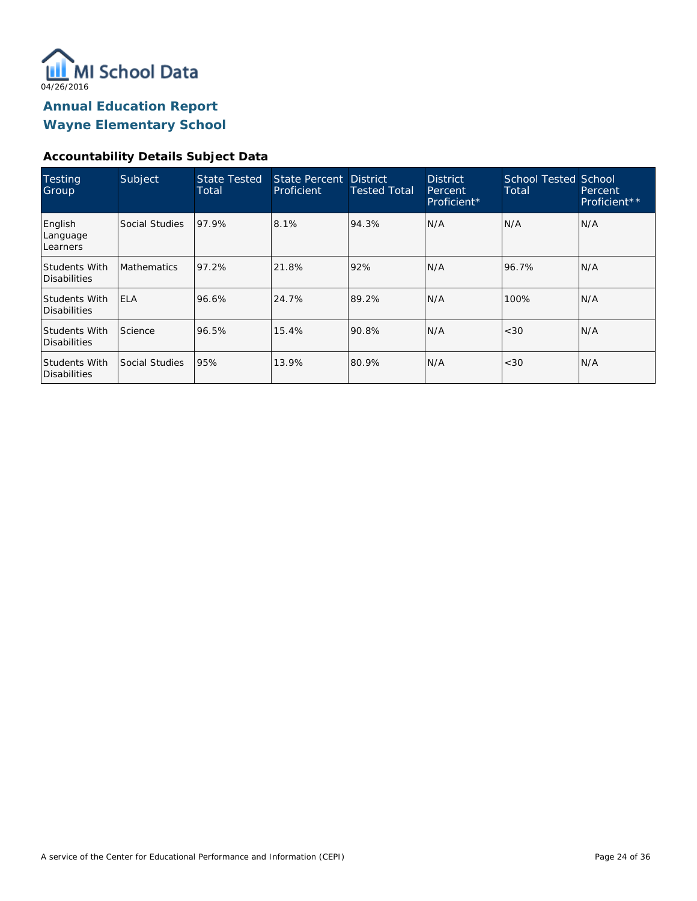

**Wayne Elementary School**

### **Accountability Details Subject Data**

| Testing<br>Group                     | Subject            | <b>State Tested</b><br>Total | State Percent District<br>Proficient | <b>Tested Total</b> | <b>District</b><br>Percent<br>Proficient* | <b>School Tested School</b><br>Total | Percent<br>Proficient** |
|--------------------------------------|--------------------|------------------------------|--------------------------------------|---------------------|-------------------------------------------|--------------------------------------|-------------------------|
| English<br>Language<br>Learners      | Social Studies     | 97.9%                        | 8.1%                                 | 94.3%               | N/A                                       | N/A                                  | N/A                     |
| <b>Students With</b><br>Disabilities | <b>Mathematics</b> | 97.2%                        | 21.8%                                | 92%                 | N/A                                       | 96.7%                                | N/A                     |
| <b>Students With</b><br>Disabilities | <b>IELA</b>        | 96.6%                        | 24.7%                                | 89.2%               | N/A                                       | 100%                                 | IN/A                    |
| <b>Students With</b><br>Disabilities | Science            | 96.5%                        | 15.4%                                | 90.8%               | N/A                                       | <30                                  | N/A                     |
| <b>Students With</b><br>Disabilities | Social Studies     | 95%                          | 13.9%                                | 80.9%               | N/A                                       | < 30                                 | N/A                     |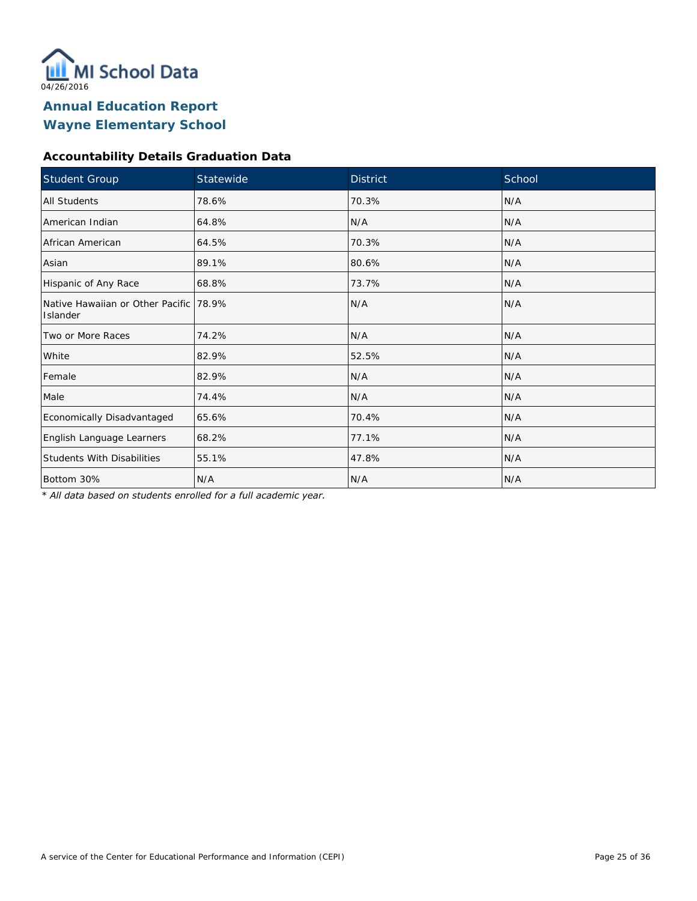

### **Accountability Details Graduation Data**

| Student Group                                      | Statewide | <b>District</b> | School |
|----------------------------------------------------|-----------|-----------------|--------|
| <b>All Students</b>                                | 78.6%     | 70.3%           | N/A    |
| American Indian                                    | 64.8%     | N/A             | N/A    |
| African American                                   | 64.5%     | 70.3%           | N/A    |
| Asian                                              | 89.1%     | 80.6%           | N/A    |
| Hispanic of Any Race                               | 68.8%     | 73.7%           | N/A    |
| Native Hawaiian or Other Pacific 78.9%<br>Islander |           | N/A             | N/A    |
| Two or More Races                                  | 74.2%     | N/A             | N/A    |
| White                                              | 82.9%     | 52.5%           | N/A    |
| Female                                             | 82.9%     | N/A             | N/A    |
| Male                                               | 74.4%     | N/A             | N/A    |
| Economically Disadvantaged                         | 65.6%     | 70.4%           | N/A    |
| English Language Learners                          | 68.2%     | 77.1%           | N/A    |
| <b>Students With Disabilities</b>                  | 55.1%     | 47.8%           | N/A    |
| Bottom 30%                                         | N/A       | N/A             | N/A    |

*\* All data based on students enrolled for a full academic year.*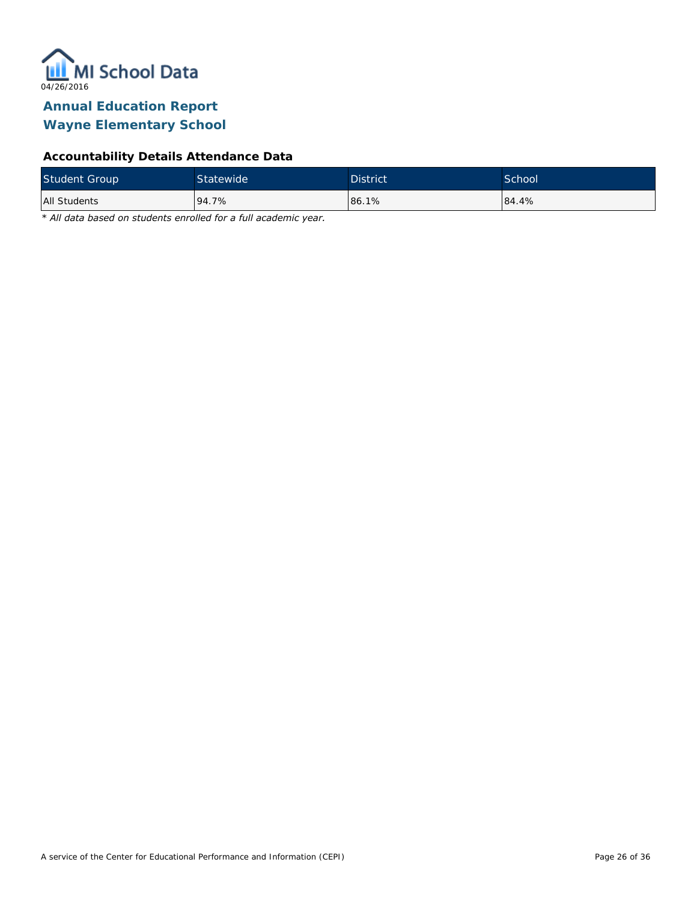

# **Accountability Details Attendance Data**

| Student Group | Statewide | <b>District</b> | School |
|---------------|-----------|-----------------|--------|
| All Students  | 94.7%     | 86.1%           | 84.4%  |

*\* All data based on students enrolled for a full academic year.*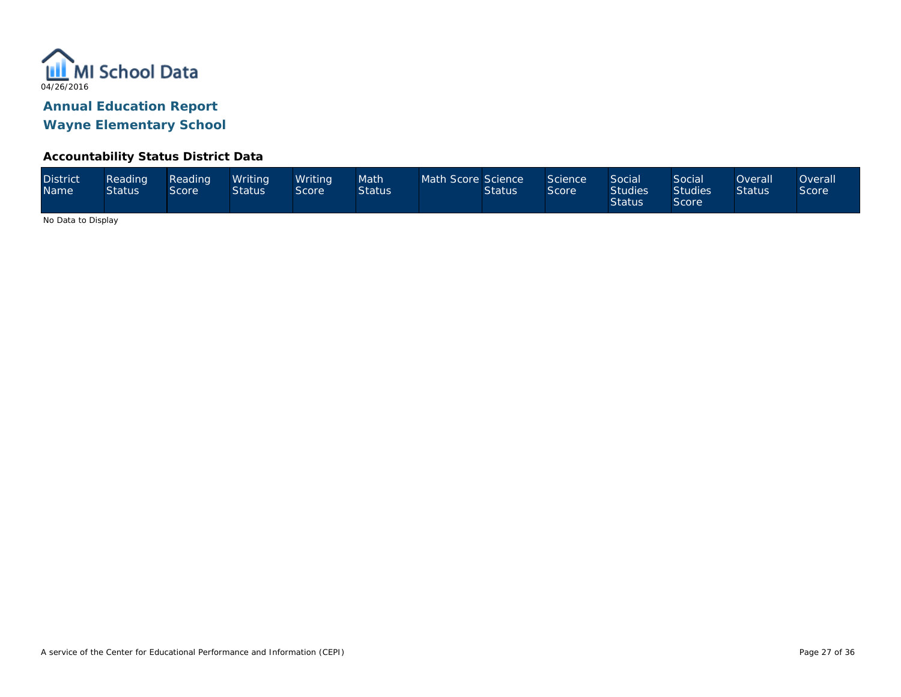

#### **Accountability Status District Data**

| <b>District</b><br><b>Name</b> | Reading<br><b>Status</b> | Reading<br>Score | Writing<br><b>Status</b> | Writina<br>Score | Math<br><b>Status</b> | Math Score Science | <b>Status</b> | Science<br>Score | <b>Social</b><br><b>Studies</b><br><b>Status</b> | Social<br><b>Studies</b><br><b>Score</b> | <b>Overall</b><br><b>Status</b> | Overall<br><b>Score</b> |
|--------------------------------|--------------------------|------------------|--------------------------|------------------|-----------------------|--------------------|---------------|------------------|--------------------------------------------------|------------------------------------------|---------------------------------|-------------------------|
|--------------------------------|--------------------------|------------------|--------------------------|------------------|-----------------------|--------------------|---------------|------------------|--------------------------------------------------|------------------------------------------|---------------------------------|-------------------------|

No Data to Display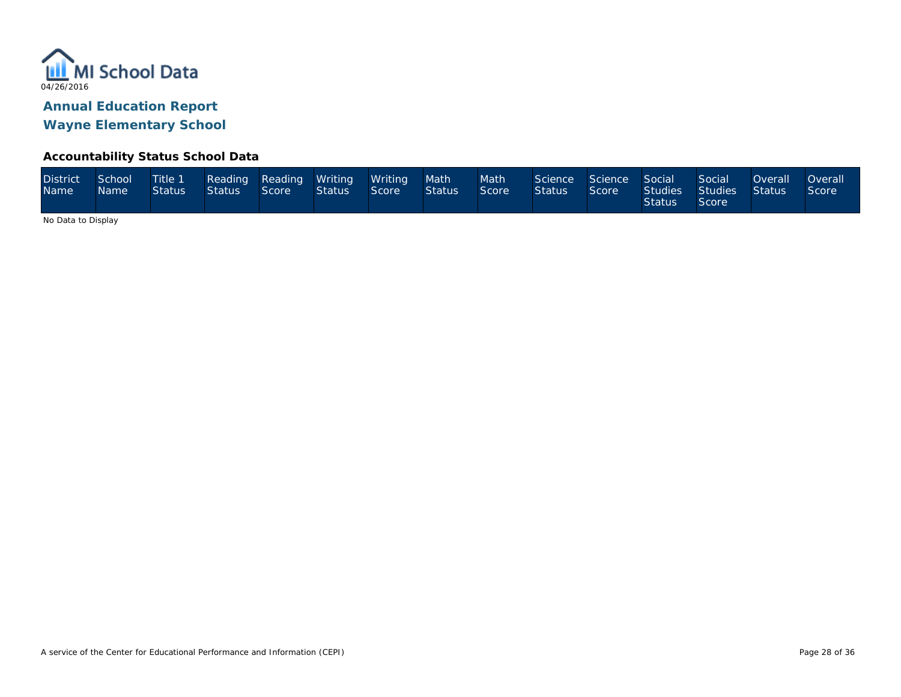

#### **Accountability Status School Data**

| <b>District</b><br><b>Name</b> | School<br><b>Name</b> | Title 1<br>Status | Status <b>I</b> | Score | <b>Reading Reading Writing Writing</b><br>$\sqrt{\mathsf{Status}}$ | Score | Math<br><b>Status</b> | Math<br>Score | <b>Status</b> | Science Science Social<br>Score | Studies<br>Status | Social<br>Studies<br>Score | <b>Overall</b><br><b>Status</b> | <b>Overall</b><br>Score |
|--------------------------------|-----------------------|-------------------|-----------------|-------|--------------------------------------------------------------------|-------|-----------------------|---------------|---------------|---------------------------------|-------------------|----------------------------|---------------------------------|-------------------------|
|--------------------------------|-----------------------|-------------------|-----------------|-------|--------------------------------------------------------------------|-------|-----------------------|---------------|---------------|---------------------------------|-------------------|----------------------------|---------------------------------|-------------------------|

No Data to Display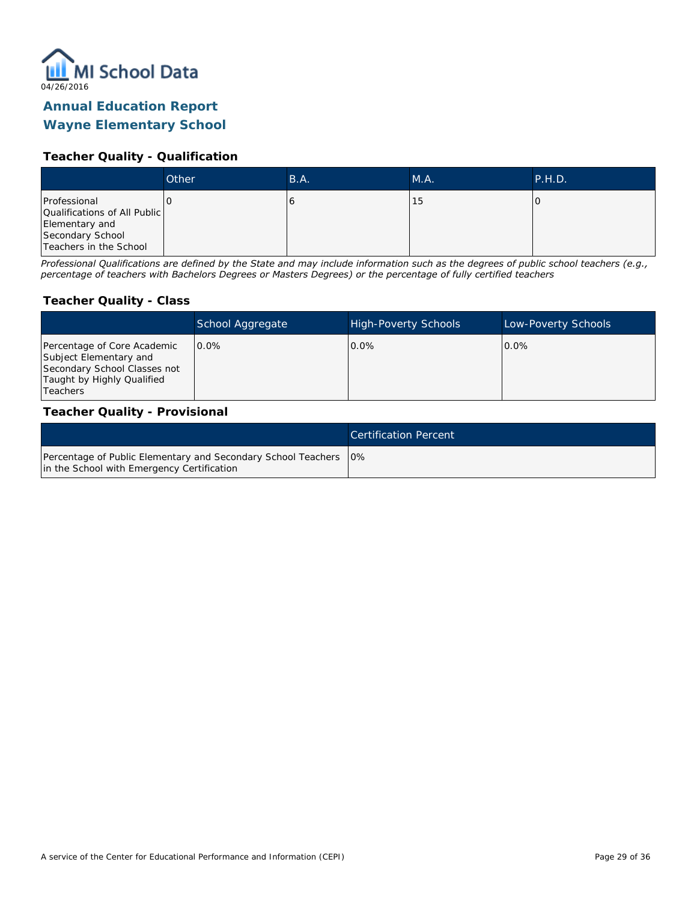

### **Wayne Elementary School**

#### **Teacher Quality - Qualification**

|                                                                                                              | Other | B.A. | MA. | P.H.D. |
|--------------------------------------------------------------------------------------------------------------|-------|------|-----|--------|
| Professional<br>Qualifications of All Public<br>Elementary and<br>Secondary School<br>Teachers in the School |       |      | 15  |        |

*Professional Qualifications are defined by the State and may include information such as the degrees of public school teachers (e.g., percentage of teachers with Bachelors Degrees or Masters Degrees) or the percentage of fully certified teachers*

#### **Teacher Quality - Class**

|                                                                                                                                   | School Aggregate | <b>High-Poverty Schools</b> | Low-Poverty Schools |
|-----------------------------------------------------------------------------------------------------------------------------------|------------------|-----------------------------|---------------------|
| Percentage of Core Academic<br>Subject Elementary and<br>Secondary School Classes not<br>Taught by Highly Qualified<br>l Teachers | $0.0\%$          | $0.0\%$                     | $0.0\%$             |

#### **Teacher Quality - Provisional**

|                                                                                                                  | Certification Percent |
|------------------------------------------------------------------------------------------------------------------|-----------------------|
| Percentage of Public Elementary and Secondary School Teachers   0%<br>in the School with Emergency Certification |                       |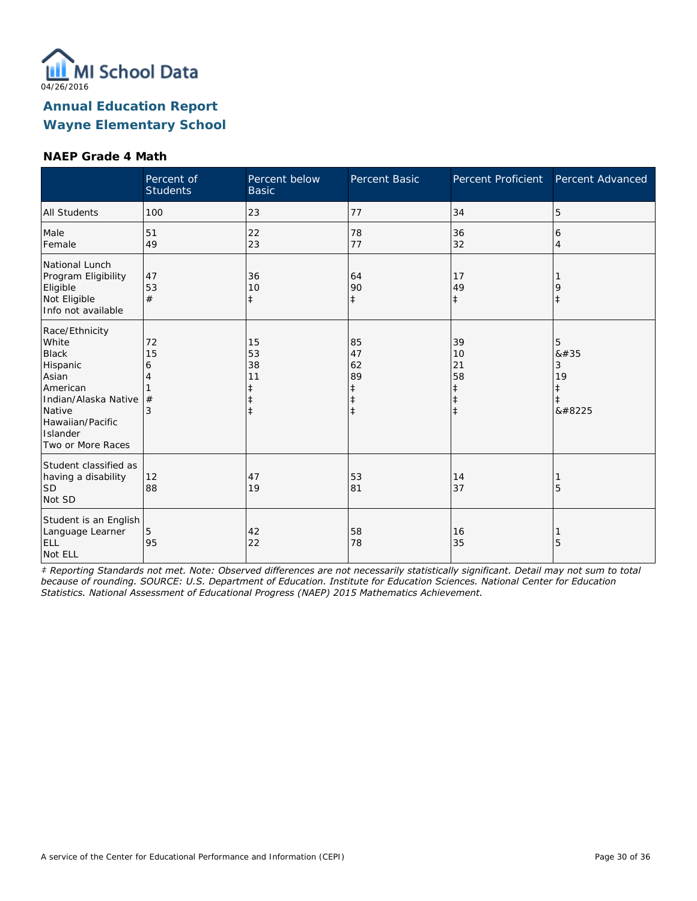

#### **NAEP Grade 4 Math**

|                                                                                                                                                                 | Percent of<br><b>Students</b> | Percent below<br><b>Basic</b>                    | Percent Basic                                         | Percent Proficient                                             | Percent Advanced               |
|-----------------------------------------------------------------------------------------------------------------------------------------------------------------|-------------------------------|--------------------------------------------------|-------------------------------------------------------|----------------------------------------------------------------|--------------------------------|
| <b>All Students</b>                                                                                                                                             | 100                           | 23                                               | 77                                                    | 34                                                             | 5                              |
| Male<br>Female                                                                                                                                                  | 51<br>49                      | 22<br>23                                         | 78<br>77                                              | 36<br>32                                                       | 6<br>$\overline{4}$            |
| National Lunch<br>Program Eligibility<br>Eligible<br>Not Eligible<br>Info not available                                                                         | 47<br>53<br>#                 | 36<br>10<br>$\ddagger$                           | 64<br>90<br>$\ddagger$                                | 17<br>49<br>$\ddagger$                                         | 9<br>$\ddagger$                |
| Race/Ethnicity<br>White<br><b>Black</b><br>Hispanic<br>Asian<br>American<br>Indian/Alaska Native<br>Native<br>Hawaiian/Pacific<br>Islander<br>Two or More Races | 72<br>15<br>6<br>4<br>#<br>3  | 15<br>53<br>38<br>11<br>$\ddagger$<br>$\ddagger$ | 85<br>47<br>62<br>89<br>$\ddagger$<br>ŧ<br>$\ddagger$ | 39<br>10<br>21<br>58<br>$\ddagger$<br>$\ddagger$<br>$\ddagger$ | 5<br>8#35<br>3<br>19<br>‡<br>‡ |
| Student classified as<br>having a disability<br><b>SD</b><br>Not SD                                                                                             | 12<br>88                      | 47<br>19                                         | 53<br>81                                              | 14<br>37                                                       | 5                              |
| Student is an English<br>Language Learner<br><b>ELL</b><br>Not ELL                                                                                              | 5<br>95                       | 42<br>22                                         | 58<br>78                                              | 16<br>35                                                       | 5                              |

*‡ Reporting Standards not met. Note: Observed differences are not necessarily statistically significant. Detail may not sum to total because of rounding. SOURCE: U.S. Department of Education. Institute for Education Sciences. National Center for Education Statistics. National Assessment of Educational Progress (NAEP) 2015 Mathematics Achievement.*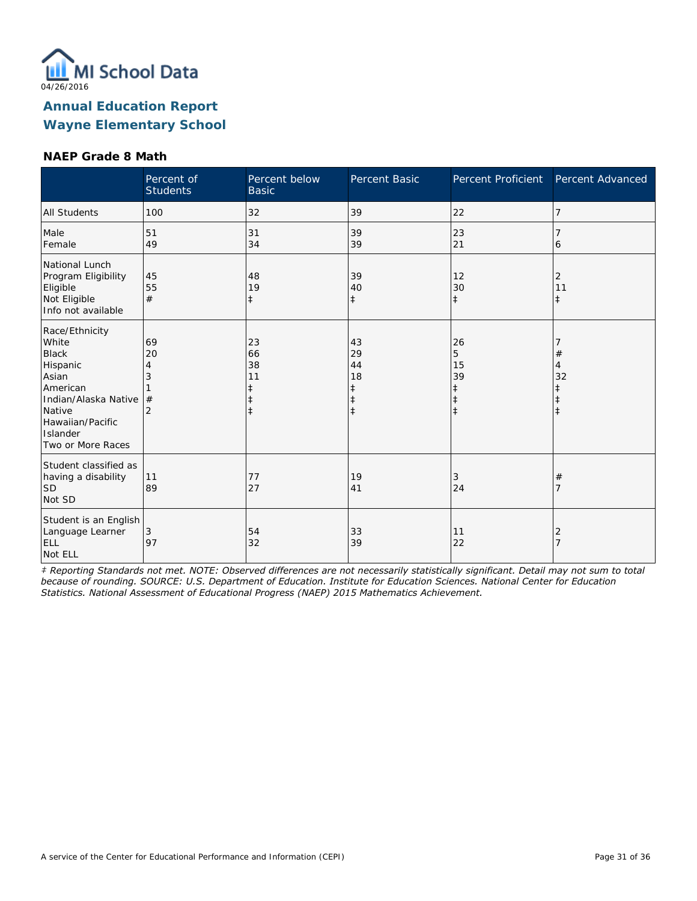

#### **NAEP Grade 8 Math**

|                                                                                                                                                                 | Percent of<br><b>Students</b>             | Percent below<br><b>Basic</b>                    | Percent Basic                                | Percent Proficient                     | Percent Advanced      |
|-----------------------------------------------------------------------------------------------------------------------------------------------------------------|-------------------------------------------|--------------------------------------------------|----------------------------------------------|----------------------------------------|-----------------------|
| <b>All Students</b>                                                                                                                                             | 100                                       | 32                                               | 39                                           | 22                                     | 7                     |
| Male<br>Female                                                                                                                                                  | 51<br>49                                  | 31<br>34                                         | 39<br>39                                     | 23<br>21                               | 6                     |
| National Lunch<br>Program Eligibility<br>Eligible<br>Not Eligible<br>Info not available                                                                         | 45<br>55<br>#                             | 48<br>19<br>$\ddagger$                           | 39<br>40<br>$\ddagger$                       | 12<br>30<br>$\ddagger$                 | 2<br>11<br>$\ddagger$ |
| Race/Ethnicity<br>White<br><b>Black</b><br>Hispanic<br>Asian<br>American<br>Indian/Alaska Native<br>Native<br>Hawaiian/Pacific<br>Islander<br>Two or More Races | 69<br>20<br>4<br>3<br>#<br>$\overline{2}$ | 23<br>66<br>38<br>11<br>ŧ<br>$\ddagger$<br>$\pm$ | 43<br>29<br>44<br>18<br>ŧ<br>ŧ<br>$\ddagger$ | 26<br>5<br>15<br>39<br>ŧ<br>$\ddagger$ | #<br>4<br>32          |
| Student classified as<br>having a disability<br>SD <sup>1</sup><br>Not SD                                                                                       | 11<br>89                                  | 77<br>27                                         | 19<br>41                                     | 3<br>24                                | #                     |
| Student is an English<br>Language Learner<br><b>ELL</b><br>Not ELL                                                                                              | 3<br>97                                   | 54<br>32                                         | 33<br>39                                     | 11<br>22                               | 2                     |

*‡ Reporting Standards not met. NOTE: Observed differences are not necessarily statistically significant. Detail may not sum to total because of rounding. SOURCE: U.S. Department of Education. Institute for Education Sciences. National Center for Education Statistics. National Assessment of Educational Progress (NAEP) 2015 Mathematics Achievement.*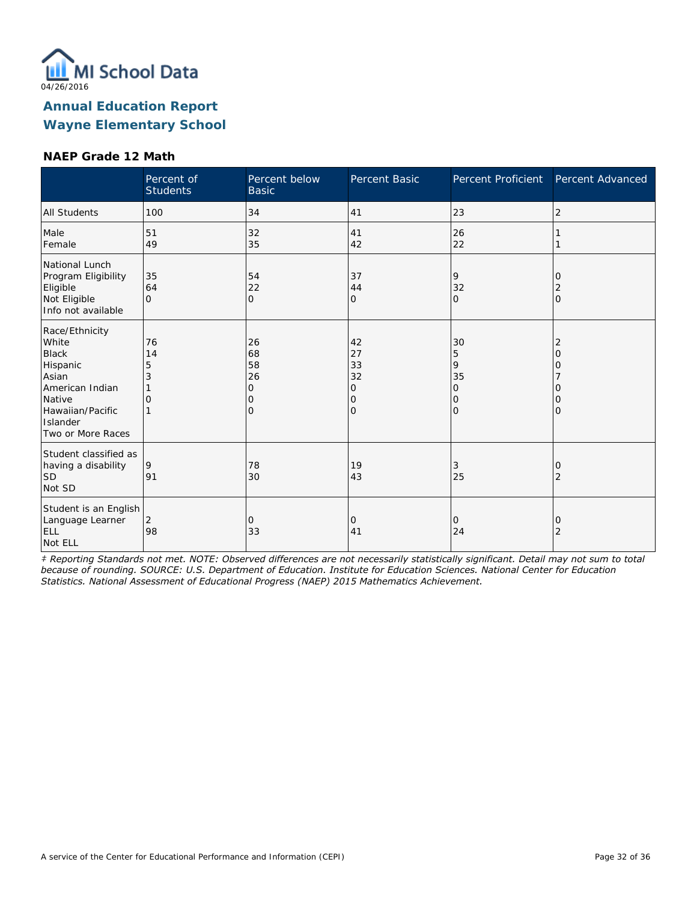

#### **NAEP Grade 12 Math**

|                                                                                                                                                | Percent of<br><b>Students</b> | Percent below<br><b>Basic</b>       | Percent Basic                                   | Percent Proficient                                              | Percent Advanced                         |
|------------------------------------------------------------------------------------------------------------------------------------------------|-------------------------------|-------------------------------------|-------------------------------------------------|-----------------------------------------------------------------|------------------------------------------|
| All Students                                                                                                                                   | 100                           | 34                                  | 41                                              | 23                                                              | $\overline{2}$                           |
| Male<br>Female                                                                                                                                 | 51<br>49                      | 32<br>35                            | 41<br>42                                        | 26<br>22                                                        |                                          |
| National Lunch<br>Program Eligibility<br>Eligible<br>Not Eligible<br>Info not available                                                        | 35<br>64<br>$\Omega$          | 54<br>22<br>l0                      | 37<br>44<br>0                                   | 9<br>32<br>$\Omega$                                             | 0<br>2<br>l0                             |
| Race/Ethnicity<br>White<br><b>Black</b><br>Hispanic<br>Asian<br>American Indian<br>Native<br>Hawaiian/Pacific<br>Islander<br>Two or More Races | 76<br>14<br>5<br>3<br>Ω       | 26<br>68<br>58<br>26<br>0<br>0<br>0 | 42<br>27<br>33<br>32<br>0<br>0<br>$\mathcal{O}$ | 30<br>5<br>9<br>35<br>$\Omega$<br>$\mathbf 0$<br>$\overline{O}$ | 2<br>O<br>O<br>O<br>$\Omega$<br>$\Omega$ |
| Student classified as<br>having a disability<br><b>SD</b><br>Not SD                                                                            | 9<br>91                       | 78<br>30                            | 19<br>43                                        | 3<br>25                                                         | 0<br>2                                   |
| Student is an English<br>Language Learner<br><b>ELL</b><br>Not ELL                                                                             | 2<br>98                       | $\overline{0}$<br>33                | 0<br>41                                         | $\mathbf 0$<br>24                                               | 0<br>$\overline{2}$                      |

*‡ Reporting Standards not met. NOTE: Observed differences are not necessarily statistically significant. Detail may not sum to total because of rounding. SOURCE: U.S. Department of Education. Institute for Education Sciences. National Center for Education Statistics. National Assessment of Educational Progress (NAEP) 2015 Mathematics Achievement.*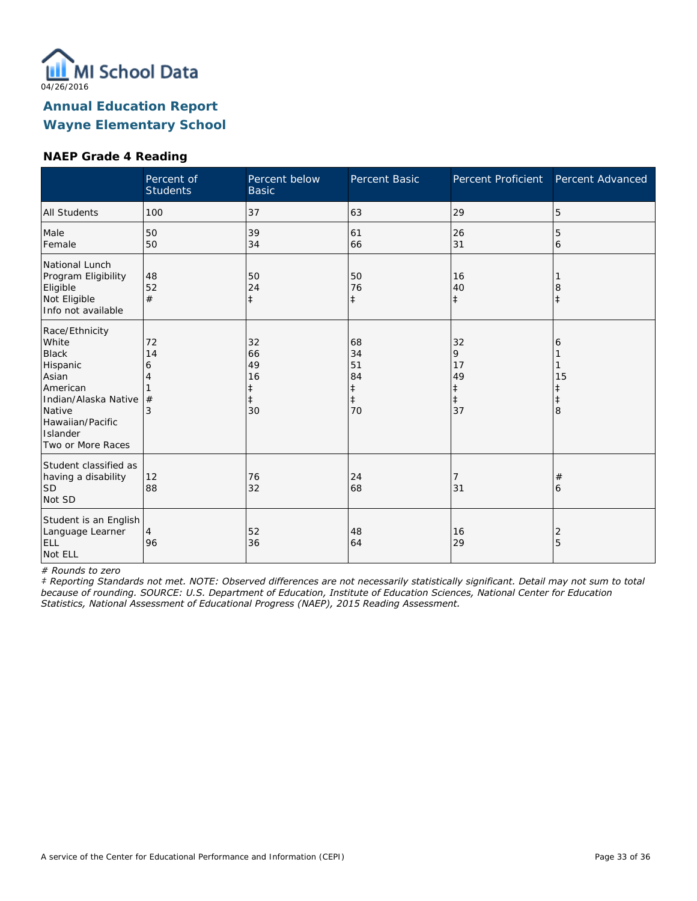

#### **NAEP Grade 4 Reading**

|                                                                                                                                                                 | Percent of<br><b>Students</b> | Percent below<br><b>Basic</b>                 | Percent Basic                                          | Percent Proficient                                    | Percent Advanced  |
|-----------------------------------------------------------------------------------------------------------------------------------------------------------------|-------------------------------|-----------------------------------------------|--------------------------------------------------------|-------------------------------------------------------|-------------------|
| <b>All Students</b>                                                                                                                                             | 100                           | 37                                            | 63                                                     | 29                                                    | 5                 |
| Male<br>Female                                                                                                                                                  | 50<br>50                      | 39<br>34                                      | 61<br>66                                               | 26<br>31                                              | 5<br>6            |
| National Lunch<br>Program Eligibility<br>Eligible<br>Not Eligible<br>Info not available                                                                         | 48<br>52<br>#                 | 50<br>24<br>$\ddagger$                        | 50<br>76<br>$\ddagger$                                 | 16<br>40<br>$\ddagger$                                | 8<br>$\ddagger$   |
| Race/Ethnicity<br>White<br><b>Black</b><br>Hispanic<br>Asian<br>American<br>Indian/Alaska Native<br>Native<br>Hawaiian/Pacific<br>Islander<br>Two or More Races | 72<br>14<br>6<br>4<br>#<br>3  | 32<br>66<br>49<br>16<br>ŧ<br>$\ddagger$<br>30 | 68<br>34<br>51<br>84<br>$\ddagger$<br>$\ddagger$<br>70 | 32<br>9<br>17<br>49<br>$\ddagger$<br>$\ddagger$<br>37 | 6<br>15<br>ŧ<br>8 |
| Student classified as<br>having a disability<br>lsd<br>Not SD                                                                                                   | 12<br>88                      | 76<br>32                                      | 24<br>68                                               | 31                                                    | #<br>6            |
| Student is an English<br>Language Learner<br>ELL<br>Not ELL                                                                                                     | $\overline{4}$<br>96          | 52<br>36                                      | 48<br>64                                               | 16<br>29                                              | 2<br>5            |

*# Rounds to zero*

*‡ Reporting Standards not met. NOTE: Observed differences are not necessarily statistically significant. Detail may not sum to total because of rounding. SOURCE: U.S. Department of Education, Institute of Education Sciences, National Center for Education Statistics, National Assessment of Educational Progress (NAEP), 2015 Reading Assessment.*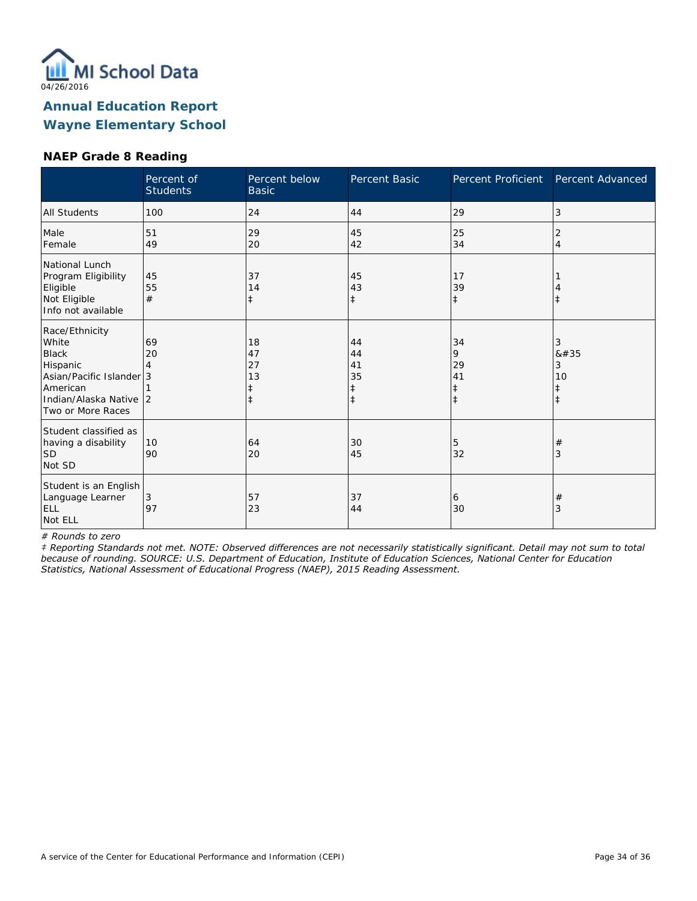

#### **NAEP Grade 8 Reading**

|                                                                                                                                            | Percent of<br><b>Students</b> | Percent below<br><b>Basic</b>      | Percent Basic                                    | Percent Proficient                              | Percent Advanced                        |
|--------------------------------------------------------------------------------------------------------------------------------------------|-------------------------------|------------------------------------|--------------------------------------------------|-------------------------------------------------|-----------------------------------------|
| All Students                                                                                                                               | 100                           | 24                                 | 44                                               | 29                                              | 3                                       |
| Male<br>Female                                                                                                                             | 51<br>49                      | 29<br>20                           | 45<br>42                                         | 25<br>34                                        | 2<br>$\overline{4}$                     |
| National Lunch<br>Program Eligibility<br>Eligible<br>Not Eligible<br>Info not available                                                    | 45<br>55<br>#                 | 37<br>14<br>$\ddagger$             | 45<br>43<br>$\ddagger$                           | 17<br>39<br>$\ddagger$                          | $\ddagger$                              |
| Race/Ethnicity<br>White<br><b>Black</b><br>Hispanic<br>Asian/Pacific Islander 3<br>American<br>Indian/Alaska Native 2<br>Two or More Races | 69<br>20                      | 18<br>47<br>27<br>13<br>$\ddagger$ | 44<br>44<br>41<br>35<br>$\ddagger$<br>$\ddagger$ | 34<br>9<br>29<br>41<br>$\ddagger$<br>$\ddagger$ | 3<br>8#35<br>3<br>10<br>ŧ<br>$\ddagger$ |
| Student classified as<br>having a disability<br><b>SD</b><br>Not SD                                                                        | 10<br>90                      | 64<br>20                           | 30<br>45                                         | 5<br>32                                         | $\#$<br>3                               |
| Student is an English<br>Language Learner<br><b>ELL</b><br>Not ELL                                                                         | 3<br>97                       | 57<br>23                           | 37<br>44                                         | 6<br>30                                         | $\#$<br>3                               |

*# Rounds to zero*

*‡ Reporting Standards not met. NOTE: Observed differences are not necessarily statistically significant. Detail may not sum to total because of rounding. SOURCE: U.S. Department of Education, Institute of Education Sciences, National Center for Education Statistics, National Assessment of Educational Progress (NAEP), 2015 Reading Assessment.*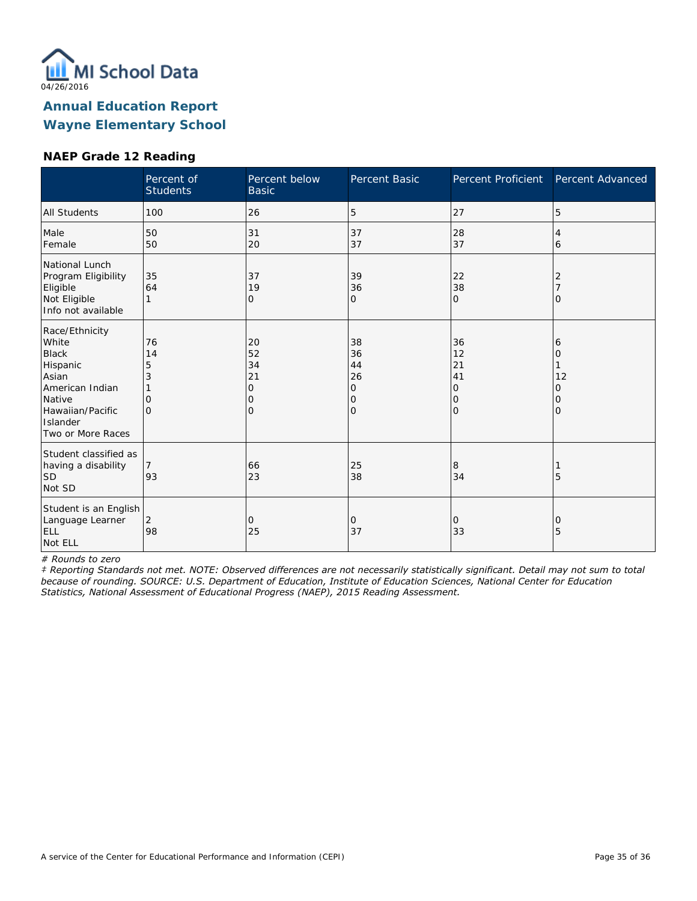

# **NAEP Grade 12 Reading**

|                                                                                                                                                | Percent of<br><b>Students</b>        | Percent below<br><b>Basic</b>                    | Percent Basic                             | Percent Proficient                             | Percent Advanced            |
|------------------------------------------------------------------------------------------------------------------------------------------------|--------------------------------------|--------------------------------------------------|-------------------------------------------|------------------------------------------------|-----------------------------|
| <b>All Students</b>                                                                                                                            | 100                                  | 26                                               | 5                                         | 27                                             | 5                           |
| Male<br>Female                                                                                                                                 | 50<br>50                             | 31<br>20                                         | 37<br>37                                  | 28<br>37                                       | 4<br>6                      |
| National Lunch<br>Program Eligibility<br>Eligible<br>Not Eligible<br>Info not available                                                        | 35<br>64                             | 37<br>19<br>0                                    | 39<br>36<br>0                             | 22<br>38<br>$\mathbf{O}$                       | 2<br>0                      |
| Race/Ethnicity<br>White<br><b>Black</b><br>Hispanic<br>Asian<br>American Indian<br>Native<br>Hawaiian/Pacific<br>Islander<br>Two or More Races | 76<br>14<br>5<br>3<br>$\Omega$<br>l0 | 20<br>52<br>34<br>21<br>O<br>0<br>$\overline{O}$ | 38<br>36<br>44<br>26<br>0<br>0<br>$\circ$ | 36<br>12<br>21<br>41<br>0<br>0<br>$\mathbf{O}$ | 6<br>Ω<br>12<br>0<br>Ω<br>O |
| Student classified as<br>having a disability<br><b>SD</b><br>Not SD                                                                            | 93                                   | 66<br>23                                         | 25<br>38                                  | 8<br>34                                        | 5                           |
| Student is an English<br>Language Learner<br>ELL<br>Not ELL                                                                                    | 2<br>98                              | 0<br>25                                          | 0<br>37                                   | $\mathbf{O}$<br>33                             | 0<br>5                      |

*# Rounds to zero*

*‡ Reporting Standards not met. NOTE: Observed differences are not necessarily statistically significant. Detail may not sum to total because of rounding. SOURCE: U.S. Department of Education, Institute of Education Sciences, National Center for Education Statistics, National Assessment of Educational Progress (NAEP), 2015 Reading Assessment.*